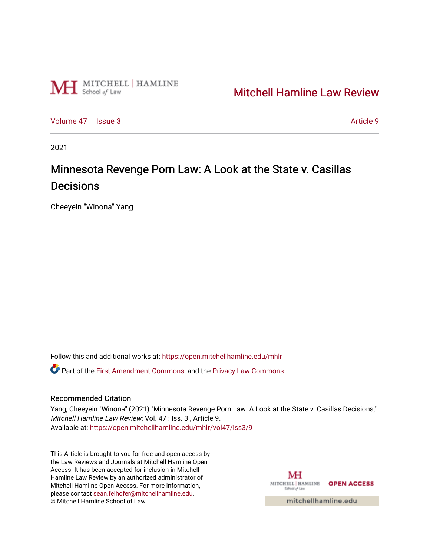

# [Mitchell Hamline Law Review](https://open.mitchellhamline.edu/mhlr)

[Volume 47](https://open.mitchellhamline.edu/mhlr/vol47) | [Issue 3](https://open.mitchellhamline.edu/mhlr/vol47/iss3) Article 9

2021

# Minnesota Revenge Porn Law: A Look at the State v. Casillas **Decisions**

Cheeyein "Winona" Yang

Follow this and additional works at: [https://open.mitchellhamline.edu/mhlr](https://open.mitchellhamline.edu/mhlr?utm_source=open.mitchellhamline.edu%2Fmhlr%2Fvol47%2Fiss3%2F9&utm_medium=PDF&utm_campaign=PDFCoverPages) 

Part of the [First Amendment Commons,](http://network.bepress.com/hgg/discipline/1115?utm_source=open.mitchellhamline.edu%2Fmhlr%2Fvol47%2Fiss3%2F9&utm_medium=PDF&utm_campaign=PDFCoverPages) and the [Privacy Law Commons](http://network.bepress.com/hgg/discipline/1234?utm_source=open.mitchellhamline.edu%2Fmhlr%2Fvol47%2Fiss3%2F9&utm_medium=PDF&utm_campaign=PDFCoverPages)

# Recommended Citation

Yang, Cheeyein "Winona" (2021) "Minnesota Revenge Porn Law: A Look at the State v. Casillas Decisions," Mitchell Hamline Law Review: Vol. 47 : Iss. 3 , Article 9. Available at: [https://open.mitchellhamline.edu/mhlr/vol47/iss3/9](https://open.mitchellhamline.edu/mhlr/vol47/iss3/9?utm_source=open.mitchellhamline.edu%2Fmhlr%2Fvol47%2Fiss3%2F9&utm_medium=PDF&utm_campaign=PDFCoverPages) 

This Article is brought to you for free and open access by the Law Reviews and Journals at Mitchell Hamline Open Access. It has been accepted for inclusion in Mitchell Hamline Law Review by an authorized administrator of Mitchell Hamline Open Access. For more information, please contact [sean.felhofer@mitchellhamline.edu.](mailto:sean.felhofer@mitchellhamline.edu) © Mitchell Hamline School of Law

MH MITCHELL | HAMLINE OPEN ACCESS School of Law

mitchellhamline.edu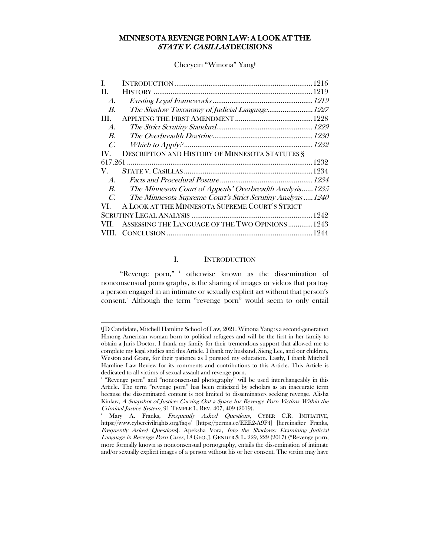# MINNESOTA REVENGE PORN LAW: A LOOK AT THE STATE V. CASILLAS DECISIONS

Cheeyein "Winona" Yang<sup>+</sup>

| I.                 |                                                              |
|--------------------|--------------------------------------------------------------|
| H.                 |                                                              |
| $\boldsymbol{A}$ . |                                                              |
| <i>B.</i>          | The Shadow Taxonomy of Judicial Language 1227                |
| III.               |                                                              |
| $\boldsymbol{A}$ . |                                                              |
| <i>B.</i>          |                                                              |
| C.                 |                                                              |
| IV.                | <b>DESCRIPTION AND HISTORY OF MINNESOTA STATUTES §</b>       |
| 617.261            |                                                              |
| V.                 |                                                              |
| $\boldsymbol{A}$ . |                                                              |
| $\boldsymbol{B}$ . | The Minnesota Court of Appeals' Overbreadth Analysis1235     |
| $\mathcal{C}$      | The Minnesota Supreme Court's Strict Scrutiny Analysis  1240 |
| VL.                | A LOOK AT THE MINNESOTA SUPREME COURT'S STRICT               |
|                    |                                                              |
|                    | ASSESSING THE LANGUAGE OF THE TWO OPINIONS  1243             |
|                    |                                                              |

# I. INTRODUCTION

<span id="page-1-0"></span>"Revenge porn," otherwise known as the dissemination of nonconsensual pornography, is the sharing of images or videos that portray a person engaged in an intimate or sexually explicit act without that person's consent.[2](#page-1-2) Although the term "revenge porn" would seem to only entail

<span id="page-1-1"></span><sup>ǂ</sup>JD Candidate, Mitchell Hamline School of Law, 2021. Winona Yang is a second-generation Hmong American woman born to political refugees and will be the first in her family to obtain a Juris Doctor. I thank my family for their tremendous support that allowed me to complete my legal studies and this Article. I thank my husband, Sieng Lee, and our children, Weston and Grant, for their patience as I pursued my education. Lastly, I thank Mitchell Hamline Law Review for its comments and contributions to this Article. This Article is dedicated to all victims of sexual assault and revenge porn.

<sup>1</sup> "Revenge porn" and "nonconsensual photography" will be used interchangeably in this Article. The term "revenge porn" has been criticized by scholars as an inaccurate term because the disseminated content is not limited to disseminators seeking revenge. Alisha Kinlaw, A Snapshot of Justice: Carving Out a Space for Revenge Porn Victims Within the Criminal Justice System, 91 TEMPLE L. REV. 407, 409 (2019).

<span id="page-1-2"></span>Mary A. Franks, Frequently Asked Questions, CYBER C.R. INITIATIVE, https://www.cybercivilrights.org/faqs/ [https://perma.cc/EEE2-A9F4] [hereinafter Franks, Frequently Asked Questions]. Apeksha Vora, Into the Shadows: Examining Judicial Language in Revenge Porn Cases, 18 GEO. J. GENDER & L. 229, 229 (2017) ("Revenge porn, more formally known as nonconsensual pornography, entails the dissemination of intimate and/or sexually explicit images of a person without his or her consent. The victim may have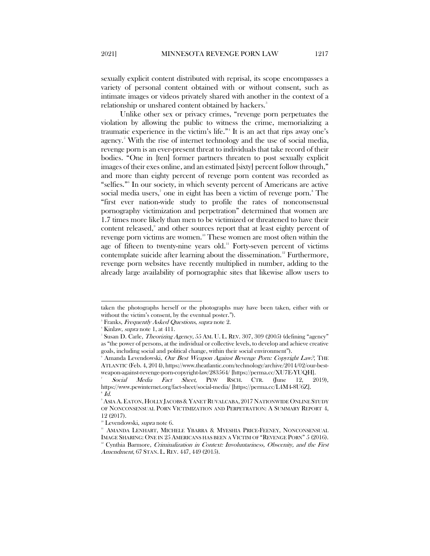sexually explicit content distributed with reprisal, its scope encompasses a variety of personal content obtained with or without consent, such as intimate images or videos privately shared with another in the context of a relationship or unshared content obtained by hackers.<sup>3</sup>

Unlike other sex or privacy crimes, "revenge porn perpetuates the violation by allowing the public to witness the crime, memorializing a traumatic experience in the victim's life."[4](#page-2-1) It is an act that rips away one's agency.<sup>[5](#page-2-2)</sup> With the rise of internet technology and the use of social media, revenge porn is an ever-present threat to individuals that take record of their bodies. "One in [ten] former partners threaten to post sexually explicit images of their exes online, and an estimated [sixty] percent follow through," and more than eighty percent of revenge porn content was recorded as "selfies."[6](#page-2-3) In our society, in which seventy percent of Americans are active social media users,<sup>[7](#page-2-4)</sup> one in eight has been a victim of revenge porn.<sup>[8](#page-2-5)</sup> The "first ever nation-wide study to profile the rates of nonconsensual pornography victimization and perpetration" determined that women are 1.7 times more likely than men to be victimized or threatened to have their content released,<sup>[9](#page-2-6)</sup> and other sources report that at least eighty percent of revenge porn victims are women.<sup>[10](#page-2-7)</sup> These women are most often within the age of fifteen to twenty-nine years old.<sup>[11](#page-2-8)</sup> Forty-seven percent of victims contemplate suicide after learning about the dissemination.<sup>[12](#page-2-9)</sup> Furthermore, revenge porn websites have recently multiplied in number, adding to the already large availability of pornographic sites that likewise allow users to

<span id="page-2-0"></span>taken the photographs herself or the photographs may have been taken, either with or without the victim's consent, by the eventual poster.").

 $^{\circ}$  Franks, *Frequently Asked Questions, supra* note 2.

<sup>&</sup>lt;sup>4</sup> Kinlaw, *supra* note 1, at 411.

<span id="page-2-2"></span><span id="page-2-1"></span> $^{\circ}$  Susan D. Carle, *Theorizing Agency*, 55 AM. U. L. REV. 307, 309 (2005) (defining "agency" as "the power of persons, at the individual or collective levels, to develop and achieve creative goals, including social and political change, within their social environment").

<span id="page-2-3"></span><sup>&</sup>lt;sup>6</sup> Amanda Levendowski, *Our Best Weapon Against Revenge Porn: Copyright Law?*, THE ATLANTIC (Feb. 4, 2014), https://www.theatlantic.com/technology/archive/2014/02/our-bestweapon-against-revenge-porn-copyright-law/283564/ [https://perma.cc/XU7E-YUQH].

<span id="page-2-4"></span>Social Media Fact Sheet, PEW RSCH. CTR. (June 12, 2019), https://www.pewinternet.org/fact-sheet/social-media/ [https://perma.cc/L4M4-8U6Z].  $^{\circ}$  Id.

<span id="page-2-6"></span><span id="page-2-5"></span> $^{\circ}$  Asia A. Eaton, Holly Jacobs & Yanet Ruvalcaba, 2017 Nationwide Online Study OF NONCONSENSUAL PORN VICTIMIZATION AND PERPETRATION: A SUMMARY REPORT 4, 12 (2017).

<sup>&</sup>lt;sup>10</sup> Levendowski, *supra* note 6.

<span id="page-2-9"></span><span id="page-2-8"></span><span id="page-2-7"></span><sup>11</sup> AMANDA LENHART, MICHELE YBARRA & MYESHIA PRICE-FEENEY, NONCONSENSUAL IMAGE SHARING: ONE IN 25 AMERICANS HAS BEEN A VICTIM OF "REVENGE PORN" 5 (2016). <sup>12</sup> Cynthia Barmore, Criminalization in Context: Involuntariness, Obscenity, and the First Amendment, 67 STAN. L. REV. 447, 449 (2015).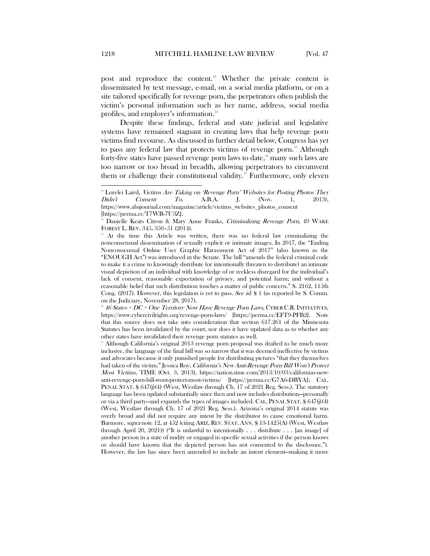post and reproduce the content.<sup>[13](#page-3-0)</sup> Whether the private content is disseminated by text message, e-mail, on a social media platform, or on a site tailored specifically for revenge porn, the perpetrators often publish the victim's personal information such as her name, address, social media profiles, and employer's information.<sup>[14](#page-3-1)</sup>

Despite these findings, federal and state judicial and legislative systems have remained stagnant in creating laws that help revenge porn victims find recourse. As discussed in further detail below, Congress has yet to pass any federal law that protects victims of revenge porn.<sup>[15](#page-3-2)</sup> Although forty-five states have passed revenge porn laws to date,<sup>[16](#page-3-3)</sup> many such laws are too narrow or too broad in breadth, allowing perpetrators to circumvent them or challenge their constitutional validity.<sup>[17](#page-3-4)</sup> Furthermore, only eleven

<span id="page-3-3"></span><sup>16</sup> 46 States + DC + One Territory Now Have Revenge Porn Laws, CYBER C.R. INITIATIVES, https://www.cybercivilrights.org/revenge-porn-laws/ [https://perma.cc/EFT9-PFB2]. Note that this source does not take into consideration that section 617.261 of the Minnesota Statutes has been invalidated by the court, nor does it have updated data as to whether any other states have invalidated their revenge porn statutes as well.

<span id="page-3-4"></span>Although California's original 2013 revenge porn proposal was drafted to be much more inclusive, the language of the final bill was so narrow that it was deemed ineffective by victims and advocates because it only punished people for distributing pictures "that they themselves had taken of the victim." Jessica Roy, *California's New Anti-Revenge Porn Bill Won't Protect* Most Victims, TIME (Oct. 3, 2013), https://nation.time.com/2013/10/03/californias-newanti-revenge-porn-bill-wont-protect-most-victims/ [https://perma.cc/G7A6-DBYA]; CAL. PENAL STAT. § 647(j)(4) (West, Westlaw through Ch. 17 of 2021 Reg. Sess.). The statutory language has been updated substantially since then and now includes distribution—personally or via a third party—and expands the types of images included. CAL. PENAL STAT. § 647(j)(4) (West, Westlaw through Ch. 17 of 2021 Reg. Sess.). Arizona's original 2014 statute was overly broad and did not require any intent by the distributor to cause emotional harm. Barmore, supra note 12, at 452 (citing ARIZ. REV. STAT.ANN. § 13-1425(A) (West, Westlaw through April 20, 2021)) ("It is unlawful to intentionally  $\dots$  distribute  $\dots$  [an image] of another person in a state of nudity or engaged in specific sexual activities if the person knows or should have known that the depicted person has not consented to the disclosure."). However, the law has since been amended to include an intent element—making it more

<span id="page-3-0"></span><sup>&</sup>lt;sup>13</sup> Lorelei Laird, Victims Are Taking on 'Revenge Porn' Websites for Posting Photos They Didn't Consent To, A.B.A. J. (Nov. 1, 2013), https://www.abajournal.com/magazine/article/victims\_websites\_photos\_consent [https://perma.cc/T7WB-7U3Z].

<span id="page-3-1"></span><sup>&</sup>lt;sup>14</sup> Danielle Keats Citron & Mary Anne Franks, Criminalizing Revenge Porn, 49 WAKE FOREST L. REV. 345, 350–51 (2014).

<span id="page-3-2"></span><sup>15</sup> At the time this Article was written, there was no federal law criminalizing the nonconsensual dissemination of sexually explicit or intimate images. In 2017, the "Ending Nonconsensual Online User Graphic Harassment Act of 2017" (also known as the "ENOUGH Act") was introduced in the Senate. The bill "amends the federal criminal code to make it a crime to knowingly distribute (or intentionally threaten to distribute) an intimate visual depiction of an individual with knowledge of or reckless disregard for the individual's lack of consent, reasonable expectation of privacy, and potential harm; and without a reasonable belief that such distribution touches a matter of public concern." S. 2162, 115th Cong. (2017). However, this legislation is yet to pass. See id. § 1 (as reported by S. Comm. on the Judiciary, November 28, 2017).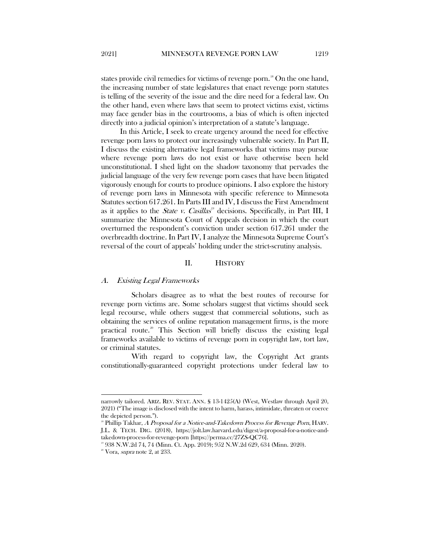states provide civil remedies for victims of revenge porn.<sup>[18](#page-4-2)</sup> On the one hand, the increasing number of state legislatures that enact revenge porn statutes is telling of the severity of the issue and the dire need for a federal law. On the other hand, even where laws that seem to protect victims exist, victims may face gender bias in the courtrooms, a bias of which is often injected directly into a judicial opinion's interpretation of a statute's language.

In this Article, I seek to create urgency around the need for effective revenge porn laws to protect our increasingly vulnerable society. In Part II, I discuss the existing alternative legal frameworks that victims may pursue where revenge porn laws do not exist or have otherwise been held unconstitutional. I shed light on the shadow taxonomy that pervades the judicial language of the very few revenge porn cases that have been litigated vigorously enough for courts to produce opinions. I also explore the history of revenge porn laws in Minnesota with specific reference to Minnesota Statutes section 617.261. In Parts III and IV, I discuss the First Amendment as it applies to the State v. Casillas<sup>[19](#page-4-3)</sup> decisions. Specifically, in Part III, I summarize the Minnesota Court of Appeals decision in which the court overturned the respondent's conviction under section 617.261 under the overbreadth doctrine. In Part IV, I analyze the Minnesota Supreme Court's reversal of the court of appeals' holding under the strict-scrutiny analysis.

#### II. HISTORY

#### <span id="page-4-1"></span><span id="page-4-0"></span>A. Existing Legal Frameworks

 $\overline{a}$ 

Scholars disagree as to what the best routes of recourse for revenge porn victims are. Some scholars suggest that victims should seek legal recourse, while others suggest that commercial solutions, such as obtaining the services of online reputation management firms, is the more practical route.<sup>[20](#page-4-4)</sup> This Section will briefly discuss the existing legal frameworks available to victims of revenge porn in copyright law, tort law, or criminal statutes.

With regard to copyright law, the Copyright Act grants constitutionally-guaranteed copyright protections under federal law to

narrowly tailored. ARIZ. REV. STAT. ANN. § 13-1425(A) (West, Westlaw through April 20, 2021) ("The image is disclosed with the intent to harm, harass, intimidate, threaten or coerce the depicted person.").

<span id="page-4-2"></span> $18$  Phillip Takhar, A Proposal for a Notice-and-Takedown Process for Revenge Porn, HARV. J.L. & TECH. DIG. (2018), https://jolt.law.harvard.edu/digest/a-proposal-for-a-notice-andtakedown-process-for-revenge-porn [https://perma.cc/27ZS-QC76].

<span id="page-4-4"></span><span id="page-4-3"></span><sup>&</sup>lt;sup>19</sup> 938 N.W.2d 74, 74 (Minn. Ct. App. 2019); 952 N.W.2d 629, 634 (Minn. 2020). <sup>20</sup> Vora, *supra* note 2, at 233.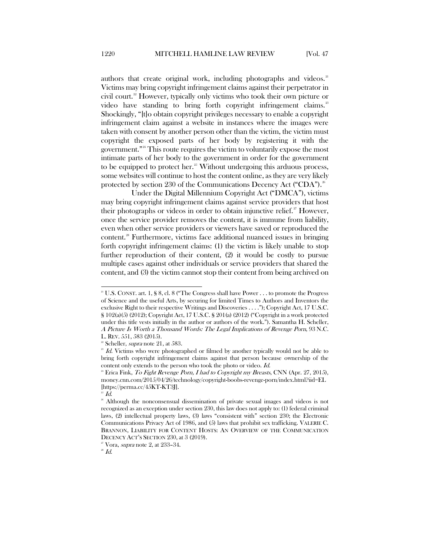authors that create original work, including photographs and videos.<sup>[21](#page-5-0)</sup> Victims may bring copyright infringement claims against their perpetrator in civil court.[22](#page-5-1) However, typically only victims who took their own picture or video have standing to bring forth copyright infringement claims.<sup>[23](#page-5-2)</sup> Shockingly, "[t]o obtain copyright privileges necessary to enable a copyright infringement claim against a website in instances where the images were taken with consent by another person other than the victim, the victim must copyright the exposed parts of her body by registering it with the government."[24](#page-5-3) This route requires the victim to voluntarily expose the most intimate parts of her body to the government in order for the government to be equipped to protect her. $25$  Without undergoing this arduous process, some websites will continue to host the content online, as they are very likely protected by section 230 of the Communications Decency Act ("CDA").<sup>[26](#page-5-5)</sup>

Under the Digital Millennium Copyright Act ("DMCA"), victims may bring copyright infringement claims against service providers that host their photographs or videos in order to obtain injunctive relief.<sup>[27](#page-5-6)</sup> However, once the service provider removes the content, it is immune from liability, even when other service providers or viewers have saved or reproduced the content.[28](#page-5-7) Furthermore, victims face additional nuanced issues in bringing forth copyright infringement claims: (1) the victim is likely unable to stop further reproduction of their content, (2) it would be costly to pursue multiple cases against other individuals or service providers that shared the content, and (3) the victim cannot stop their content from being archived on

<span id="page-5-0"></span><sup>&</sup>lt;sup>21</sup> U.S. CONST. art. 1, § 8, cl. 8 ("The Congress shall have Power . . . to promote the Progress of Science and the useful Arts, by securing for limited Times to Authors and Inventors the exclusive Right to their respective Writings and Discoveries . . . ."); Copyright Act, 17 U.S.C. § 102(a)(5) (2012); Copyright Act, 17 U.S.C. § 201(a) (2012) ("Copyright in a work protected under this title vests initially in the author or authors of the work."). Samantha H. Scheller, A Picture Is Worth a Thousand Words: The Legal Implications of Revenge Porn, 93 N.C. L. REV. 551, 583 (2015).

Scheller, supra note 21, at 583.

<span id="page-5-2"></span><span id="page-5-1"></span> $2^3$  Id. Victims who were photographed or filmed by another typically would not be able to bring forth copyright infringement claims against that person because ownership of the content only extends to the person who took the photo or video. Id.

<span id="page-5-3"></span><sup>&</sup>lt;sup>24</sup> Erica Fink, *To Fight Revenge Porn, I had to Copyright my Breasts*, CNN (Apr. 27, 2015), money.cnn.com/2015/04/26/technology/copyright-boobs-revenge-porn/index.html?iid=EL [https://perma.cc/45KT-KT3J].

 $^{25}$   $Id.$ 

<span id="page-5-5"></span><span id="page-5-4"></span><sup>&</sup>lt;sup>26</sup> Although the nonconsensual dissemination of private sexual images and videos is not recognized as an exception under section 230, this law does not apply to: (1) federal criminal laws, (2) intellectual property laws, (3) laws "consistent with" section 230; the Electronic Communications Privacy Act of 1986, and (5) laws that prohibit sex trafficking. VALERIE C. BRANNON, LIABILITY FOR CONTENT HOSTS: AN OVERVIEW OF THE COMMUNICATION DECENCY ACT'S SECTION 230, at 3 (2019).

<span id="page-5-6"></span> $2^{\circ}$  Vora, *supra* note 2, at 233-34.

<span id="page-5-7"></span> $^{\rm 28}$   $Id.$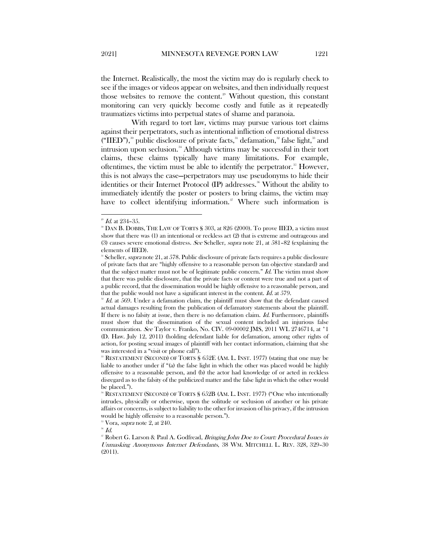the Internet. Realistically, the most the victim may do is regularly check to see if the images or videos appear on websites, and then individually request those websites to remove the content.<sup>[29](#page-6-0)</sup> Without question, this constant monitoring can very quickly become costly and futile as it repeatedly traumatizes victims into perpetual states of shame and paranoia.

With regard to tort law, victims may pursue various tort claims against their perpetrators, such as intentional infliction of emotional distress ("IIED"),<sup>[30](#page-6-1)</sup> public disclosure of private facts,<sup>[31](#page-6-2)</sup> defamation,<sup>[32](#page-6-3)</sup> false light,<sup>[33](#page-6-4)</sup> and intrusion upon seclusion.<sup>[34](#page-6-5)</sup> Although victims may be successful in their tort claims, these claims typically have many limitations. For example, oftentimes, the victim must be able to identify the perpetrator. $\delta$ <sup>[35](#page-6-6)</sup> However, this is not always the case—perpetrators may use pseudonyms to hide their identities or their Internet Protocol (IP) addresses.<sup>[36](#page-6-7)</sup> Without the ability to immediately identify the poster or posters to bring claims, the victim may have to collect identifying information. $\frac{37}{10}$  $\frac{37}{10}$  $\frac{37}{10}$  Where such information is

 $35$  Vora, *supra* note 2, at 240.

<span id="page-6-6"></span> $36$   $Id.$ 

<span id="page-6-1"></span><span id="page-6-0"></span> $^{\text{\tiny{\rm{2D}}}}$  *Id.* at 234–35.<br>\* DAN B. DOBBS, THE LAW OF TORTS § 303, at 826 (2000). To prove IIED, a victim must show that there was (1) an intentional or reckless act (2) that is extreme and outrageous and (3) causes severe emotional distress. See Scheller, supra note 21, at  $581-82$  (explaining the elements of IIED).

<span id="page-6-2"></span><sup>&</sup>lt;sup>31</sup> Scheller, *supra* note 21, at 578. Public disclosure of private facts requires a public disclosure of private facts that are "highly offensive to a reasonable person (an objective standard) and that the subject matter must not be of legitimate public concern."  $Id$ . The victim must show that there was public disclosure, that the private facts or content were true and not a part of a public record, that the dissemination would be highly offensive to a reasonable person, and that the public would not have a significant interest in the content. Id. at 579.

<span id="page-6-3"></span> $1d.$  at 569. Under a defamation claim, the plaintiff must show that the defendant caused actual damages resulting from the publication of defamatory statements about the plaintiff. If there is no falsity at issue, then there is no defamation claim. Id. Furthermore, plaintiffs must show that the dissemination of the sexual content included an injurious false communication. See Taylor v. Franko, No. CIV. 09-00002 JMS, 2011 WL 2746714, at \*1 (D. Haw. July 12, 2011) (holding defendant liable for defamation, among other rights of action, for posting sexual images of plaintiff with her contact information, claiming that she was interested in a "visit or phone call").<br><sup>33</sup> RESTATEMENT (SECOND) OF TORTS § 652E (AM. L. INST. 1977) (stating that one may be

<span id="page-6-4"></span>liable to another under if "(a) the false light in which the other was placed would be highly offensive to a reasonable person, and (b) the actor had knowledge of or acted in reckless disregard as to the falsity of the publicized matter and the false light in which the other would be placed.").

<span id="page-6-5"></span><sup>&</sup>lt;sup>34</sup> RESTATEMENT (SECOND) OF TORTS § 652B (AM. L. INST. 1977) ("One who intentionally intrudes, physically or otherwise, upon the solitude or seclusion of another or his private affairs or concerns, is subject to liability to the other for invasion of his privacy, if the intrusion would be highly offensive to a reasonable person.").

<span id="page-6-8"></span><span id="page-6-7"></span><sup>&</sup>lt;sup>37</sup> Robert G. Larson & Paul A. Godfread, *Bringing John Doe to Court: Procedural Issues in* Unmasking Anonymous Internet Defendants, 38 WM. MITCHELL L. REV. 328, 329–30 (2011).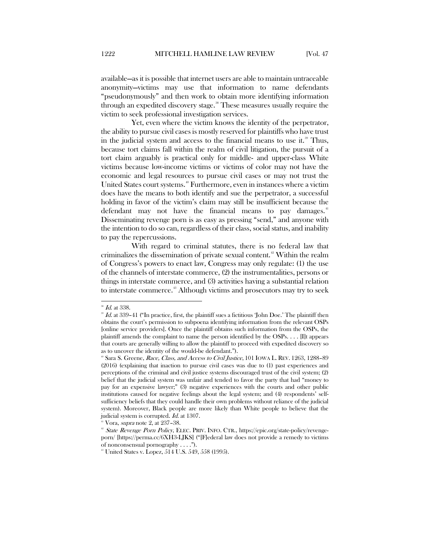available—as it is possible that internet users are able to maintain untraceable anonymity—victims may use that information to name defendants "pseudonymously" and then work to obtain more identifying information through an expedited discovery stage.<sup>[38](#page-7-0)</sup> These measures usually require the victim to seek professional investigation services.

Yet, even where the victim knows the identity of the perpetrator, the ability to pursue civil cases is mostly reserved for plaintiffs who have trust in the judicial system and access to the financial means to use it.<sup>[39](#page-7-1)</sup> Thus, because tort claims fall within the realm of civil litigation, the pursuit of a tort claim arguably is practical only for middle- and upper-class White victims because low-income victims or victims of color may not have the economic and legal resources to pursue civil cases or may not trust the United States court systems.<sup>40</sup> Furthermore, even in instances where a victim does have the means to both identify and sue the perpetrator, a successful holding in favor of the victim's claim may still be insufficient because the defendant may not have the financial means to pay damages.<sup>[41](#page-7-3)</sup> Disseminating revenge porn is as easy as pressing "send," and anyone with the intention to do so can, regardless of their class, social status, and inability to pay the repercussions.

With regard to criminal statutes, there is no federal law that criminalizes the dissemination of private sexual content.[42](#page-7-4) Within the realm of Congress's powers to enact law, Congress may only regulate: (1) the use of the channels of interstate commerce, (2) the instrumentalities, persons or things in interstate commerce, and (3) activities having a substantial relation to interstate commerce.<sup>[43](#page-7-5)</sup> Although victims and prosecutors may try to seek

 $^{38}$  *Id.* at 338.

<span id="page-7-1"></span><span id="page-7-0"></span> $39$  Id. at 339-41 ("In practice, first, the plaintiff sues a fictitious 'John Doe.' The plaintiff then obtains the court's permission to subpoena identifying information from the relevant OSPs [online service providers]. Once the plaintiff obtains such information from the OSPs, the plaintiff amends the complaint to name the person identified by the OSPs. . . . [I]t appears that courts are generally willing to allow the plaintiff to proceed with expedited discovery so as to uncover the identity of the would-be defendant.").

<span id="page-7-2"></span><sup>&</sup>lt;sup>®</sup> Sara S. Greene, Race, Class, and Access to Civil Justice, 101 IOWA L. REV. 1263, 1288-89 (2016) (explaining that inaction to pursue civil cases was due to (1) past experiences and perceptions of the criminal and civil justice systems discouraged trust of the civil system; (2) belief that the judicial system was unfair and tended to favor the party that had "money to pay for an expensive lawyer;" (3) negative experiences with the courts and other public institutions caused for negative feelings about the legal system; and (4) respondents' selfsufficiency beliefs that they could handle their own problems without reliance of the judicial system). Moreover, Black people are more likely than White people to believe that the judicial system is corrupted. *Id.* at 1307.

Vora, *supra* note 2, at 237-38.

<span id="page-7-4"></span><span id="page-7-3"></span><sup>&</sup>lt;sup>42</sup> State Revenge Porn Policy, ELEC. PRIV. INFO. CTR., https://epic.org/state-policy/revengeporn/ [https://perma.cc/6XH3-LJKS] ("[F]ederal law does not provide a remedy to victims of nonconsensual pornography . . . .").

<span id="page-7-5"></span><sup>&</sup>lt;sup>48</sup> United States v. Lopez, 514 U.S. 549, 558 (1995).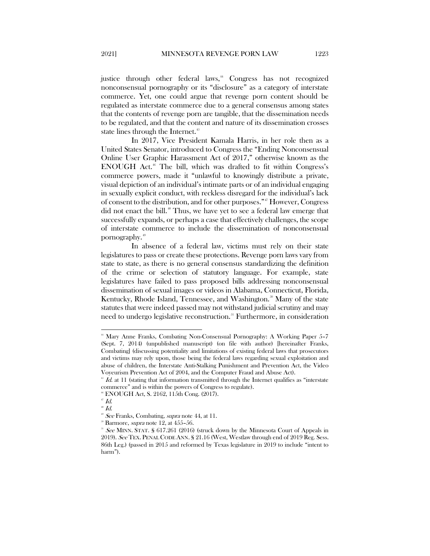justice through other federal laws,<sup>[44](#page-8-0)</sup> Congress has not recognized nonconsensual pornography or its "disclosure" as a category of interstate commerce. Yet, one could argue that revenge porn content should be regulated as interstate commerce due to a general consensus among states that the contents of revenge porn are tangible, that the dissemination needs to be regulated, and that the content and nature of its dissemination crosses state lines through the Internet.<sup>[45](#page-8-1)</sup>

In 2017, Vice President Kamala Harris, in her role then as a United States Senator, introduced to Congress the "Ending Nonconsensual Online User Graphic Harassment Act of 2017," otherwise known as the ENOUGH Act.<sup>[46](#page-8-2)</sup> The bill, which was drafted to fit within Congress's commerce powers, made it "unlawful to knowingly distribute a private, visual depiction of an individual's intimate parts or of an individual engaging in sexually explicit conduct, with reckless disregard for the individual's lack of consent to the distribution, and for other purposes."[47](#page-8-3) However, Congress did not enact the bill.<sup>[48](#page-8-4)</sup> Thus, we have yet to see a federal law emerge that successfully expands, or perhaps a case that effectively challenges, the scope of interstate commerce to include the dissemination of nonconsensual pornography.[49](#page-8-5)

In absence of a federal law, victims must rely on their state legislatures to pass or create these protections. Revenge porn laws vary from state to state, as there is no general consensus standardizing the definition of the crime or selection of statutory language. For example, state legislatures have failed to pass proposed bills addressing nonconsensual dissemination of sexual images or videos in Alabama, Connecticut, Florida, Kentucky, Rhode Island, Tennessee, and Washington.<sup>30</sup> Many of the state statutes that were indeed passed may not withstand judicial scrutiny and may need to undergo legislative reconstruction.<sup>[51](#page-8-7)</sup> Furthermore, in consideration

<span id="page-8-0"></span><sup>&</sup>lt;sup>44</sup> Mary Anne Franks, Combating Non-Consensual Pornography: A Working Paper 5-7 (Sept. 7, 2014) (unpublished manuscript) (on file with author) [hereinafter Franks, Combating] (discussing potentiality and limitations of existing federal laws that prosecutors and victims may rely upon, those being the federal laws regarding sexual exploitation and abuse of children, the Interstate Anti-Stalking Punishment and Prevention Act, the Video Voyeurism Prevention Act of 2004, and the Computer Fraud and Abuse Act).

<span id="page-8-1"></span> $\frac{4}{5}$  Id. at 11 (stating that information transmitted through the Internet qualifies as "interstate" commerce" and is within the powers of Congress to regulate).

<span id="page-8-2"></span><sup>46</sup> ENOUGH Act, S. 2162, 115th Cong. (2017).

<span id="page-8-3"></span> $\mathcal I^{\sigma}$  Id.

<span id="page-8-5"></span><span id="page-8-4"></span> $48$  Id.

 $9$  See Franks, Combating, supra note 44, at 11.

 $30$  Barmore, *supra* note 12, at 455-56.

<span id="page-8-7"></span><span id="page-8-6"></span><sup>&</sup>lt;sup>11</sup> See MINN. STAT. § 617.261 (2016) (struck down by the Minnesota Court of Appeals in 2019). See TEX. PENAL CODE ANN. § 21.16 (West, Westlaw through end of 2019 Reg. Sess. 86th Leg.) (passed in 2015 and reformed by Texas legislature in 2019 to include "intent to harm").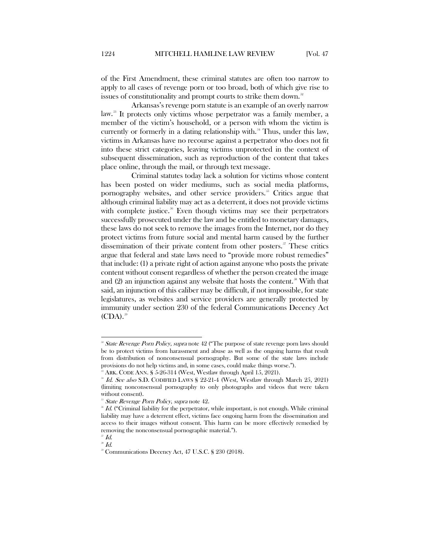of the First Amendment, these criminal statutes are often too narrow to apply to all cases of revenge porn or too broad, both of which give rise to issues of constitutionality and prompt courts to strike them down.<sup>[52](#page-9-0)</sup>

Arkansas's revenge porn statute is an example of an overly narrow law.<sup>[53](#page-9-1)</sup> It protects only victims whose perpetrator was a family member, a member of the victim's household, or a person with whom the victim is currently or formerly in a dating relationship with.<sup>[54](#page-9-2)</sup> Thus, under this law, victims in Arkansas have no recourse against a perpetrator who does not fit into these strict categories, leaving victims unprotected in the context of subsequent dissemination, such as reproduction of the content that takes place online, through the mail, or through text message.

Criminal statutes today lack a solution for victims whose content has been posted on wider mediums, such as social media platforms, pornography websites, and other service providers.<sup>[55](#page-9-3)</sup> Critics argue that although criminal liability may act as a deterrent, it does not provide victims with complete justice.<sup>[56](#page-9-4)</sup> Even though victims may see their perpetrators successfully prosecuted under the law and be entitled to monetary damages, these laws do not seek to remove the images from the Internet, nor do they protect victims from future social and mental harm caused by the further dissemination of their private content from other posters. $\frac{57}{10}$  $\frac{57}{10}$  $\frac{57}{10}$  These critics argue that federal and state laws need to "provide more robust remedies" that include: (1) a private right of action against anyone who posts the private content without consent regardless of whether the person created the image and  $(2)$  an injunction against any website that hosts the content.<sup>[58](#page-9-6)</sup> With that said, an injunction of this caliber may be difficult, if not impossible, for state legislatures, as websites and service providers are generally protected by immunity under section 230 of the federal Communications Decency Act  $(CDA).$ <sup>[59](#page-9-7)</sup>

<span id="page-9-0"></span><sup>&</sup>lt;sup>32</sup> State Revenge Porn Policy, supra note 42 ("The purpose of state revenge porn laws should be to protect victims from harassment and abuse as well as the ongoing harms that result from distribution of nonconsensual pornography. But some of the state laws include provisions do not help victims and, in some cases, could make things worse.").

 $5<sup>3</sup>$  ARK. CODE ANN. § 5-26-314 (West, Westlaw through April 15, 2021).

<span id="page-9-2"></span><span id="page-9-1"></span><sup>&</sup>lt;sup>54</sup> Id. See also S.D. CODIFIED LAWS § 22-21-4 (West, Westlaw through March 25, 2021) (limiting nonconsensual pornography to only photographs and videos that were taken without consent).

<sup>&</sup>lt;sup>55</sup> State Revenge Porn Policy, supra note 42.

<span id="page-9-4"></span><span id="page-9-3"></span> $56$  Id. ("Criminal liability for the perpetrator, while important, is not enough. While criminal liability may have a deterrent effect, victims face ongoing harm from the dissemination and access to their images without consent. This harm can be more effectively remedied by removing the nonconsensual pornographic material.").

<span id="page-9-6"></span><span id="page-9-5"></span>Id.

<span id="page-9-7"></span> $\overline{\phantom{a}}^{\phantom{1}\!s}$  Id.

<sup>59</sup> Communications Decency Act, 47 U.S.C. § 230 (2018).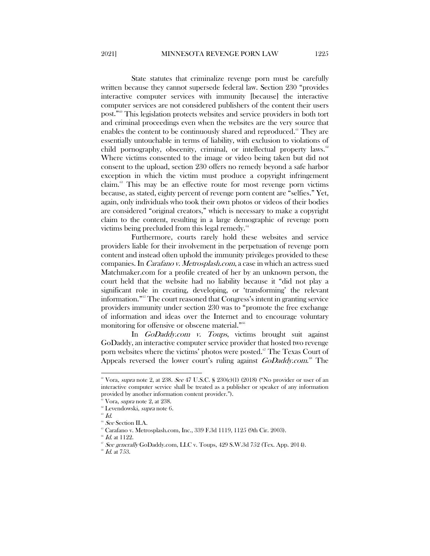State statutes that criminalize revenge porn must be carefully written because they cannot supersede federal law. Section 230 "provides interactive computer services with immunity [because] the interactive computer services are not considered publishers of the content their users post."[60](#page-10-0) This legislation protects websites and service providers in both tort and criminal proceedings even when the websites are the very source that enables the content to be continuously shared and reproduced.<sup>[61](#page-10-1)</sup> They are essentially untouchable in terms of liability, with exclusion to violations of child pornography, obscenity, criminal, or intellectual property laws.<sup>[62](#page-10-2)</sup> Where victims consented to the image or video being taken but did not consent to the upload, section 230 offers no remedy beyond a safe harbor exception in which the victim must produce a copyright infringement claim.[63](#page-10-3) This may be an effective route for most revenge porn victims because, as stated, eighty percent of revenge porn content are "selfies." Yet, again, only individuals who took their own photos or videos of their bodies are considered "original creators," which is necessary to make a copyright claim to the content, resulting in a large demographic of revenge porn victims being precluded from this legal remedy.<sup>[64](#page-10-4)</sup>

Furthermore, courts rarely hold these websites and service providers liable for their involvement in the perpetuation of revenge porn content and instead often uphold the immunity privileges provided to these companies. In Carafano v. Metrosplash.com, a case in which an actress sued Matchmaker.com for a profile created of her by an unknown person, the court held that the website had no liability because it "did not play a significant role in creating, developing, or 'transforming' the relevant information."[65](#page-10-5) The court reasoned that Congress's intent in granting service providers immunity under section 230 was to "promote the free exchange of information and ideas over the Internet and to encourage voluntary monitoring for offensive or obscene material."<sup>[66](#page-10-6)</sup>

In GoDaddy.com v. Toups, victims brought suit against GoDaddy, an interactive computer service provider that hosted two revenge porn websites where the victims' photos were posted.<sup>[67](#page-10-7)</sup> The Texas Court of Appeals reversed the lower court's ruling against GoDaddy.com.<sup>®</sup> The

<span id="page-10-0"></span> $\degree$  Vora, *supra* note 2, at 238. See 47 U.S.C. § 230(c)(1) (2018) ("No provider or user of an interactive computer service shall be treated as a publisher or speaker of any information provided by another information content provider.").

 $61$  Vora, *supra* note 2, at 238.

<span id="page-10-1"></span><sup>&</sup>lt;sup>62</sup> Levendowski, *supra* note 6.

<span id="page-10-4"></span><span id="page-10-3"></span><span id="page-10-2"></span> $^{3}$  Id.

 $^{64}$  See Section II.A.

 $65$  Carafano v. Metrosplash.com, Inc., 339 F.3d 1119, 1125 (9th Cir. 2003).

<span id="page-10-7"></span><span id="page-10-6"></span><span id="page-10-5"></span> $Id.$  at 1122.

<sup>&</sup>lt;sup>67</sup> See generally GoDaddy.com, LLC v. Toups, 429 S.W.3d 752 (Tex. App. 2014).

<span id="page-10-8"></span> $^{\circ\circ}$   $Id.$  at 753.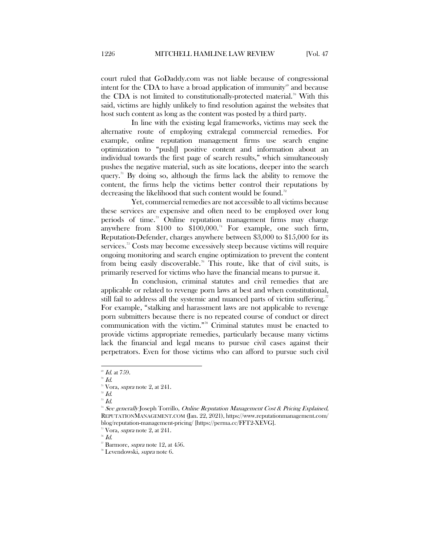court ruled that GoDaddy.com was not liable because of congressional intent for the CDA to have a broad application of immunity<sup>®</sup> and because the CDA is not limited to constitutionally-protected material.<sup>[70](#page-11-1)</sup> With this said, victims are highly unlikely to find resolution against the websites that host such content as long as the content was posted by a third party.

In line with the existing legal frameworks, victims may seek the alternative route of employing extralegal commercial remedies. For example, online reputation management firms use search engine optimization to "push[] positive content and information about an individual towards the first page of search results," which simultaneously pushes the negative material, such as site locations, deeper into the search query.<sup>[71](#page-11-2)</sup> By doing so, although the firms lack the ability to remove the content, the firms help the victims better control their reputations by decreasing the likelihood that such content would be found.<sup>[72](#page-11-3)</sup>

Yet, commercial remedies are not accessible to all victims because these services are expensive and often need to be employed over long periods of time.<sup>[73](#page-11-4)</sup> Online reputation management firms may charge anywhere from  $$100$  to  $$100,000$ .<sup>[74](#page-11-5)</sup> For example, one such firm, Reputation-Defender, charges anywhere between \$3,000 to \$15,000 for its services.<sup>75</sup> Costs may become excessively steep because victims will require ongoing monitoring and search engine optimization to prevent the content from being easily discoverable.<sup>[76](#page-11-7)</sup> This route, like that of civil suits, is primarily reserved for victims who have the financial means to pursue it.

In conclusion, criminal statutes and civil remedies that are applicable or related to revenge porn laws at best and when constitutional, still fail to address all the systemic and nuanced parts of victim suffering.<sup>[77](#page-11-8)</sup> For example, "stalking and harassment laws are not applicable to revenge porn submitters because there is no repeated course of conduct or direct communication with the victim."[78](#page-11-9) Criminal statutes must be enacted to provide victims appropriate remedies, particularly because many victims lack the financial and legal means to pursue civil cases against their perpetrators. Even for those victims who can afford to pursue such civil

<span id="page-11-0"></span> $\mathscr{D}$  *Id.* at 759.

<span id="page-11-1"></span> $\sqrt[70]{d}$ .

 $\mathrm{^{71}Vora}$ , supra note 2, at 241.

<span id="page-11-3"></span><span id="page-11-2"></span> $\overline{H}^2$  Id.

 $\phantom{a}^{73}$  Id.

<span id="page-11-5"></span><span id="page-11-4"></span><sup>&</sup>lt;sup>74</sup> See generally Joseph Torrillo, Online Reputation Management Cost & Pricing Explained, REPUTATIONMANAGEMENT.COM (Jan. 22, 2021), https://www.reputationmanagement.com/ blog/reputation-management-pricing/ [https://perma.cc/FFT2-XEVG].

 $35$  Vora, *supra* note 2, at 241.

<span id="page-11-8"></span><span id="page-11-7"></span><span id="page-11-6"></span><sup>76</sup> Id.

<span id="page-11-9"></span> $\overline{r}$  Barmore, *supra* note 12, at 456.

<sup>&</sup>lt;sup>78</sup> Levendowski, *supra* note 6.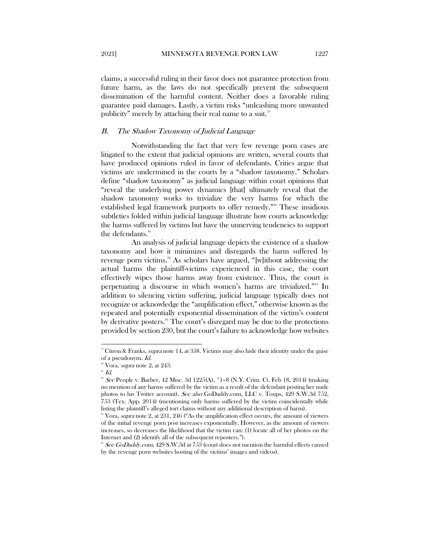2021] MINNESOTA REVENGE PORN LAW 1227

claims, a successful ruling in their favor does not guarantee protection from future harm, as the laws do not specifically prevent the subsequent dissemination of the harmful content. Neither does a favorable ruling guarantee paid damages. Lastly, a victim risks "unleashing more unwanted publicity" merely by attaching their real name to a suit.<sup>79</sup>

### <span id="page-12-0"></span>B. The Shadow Taxonomy of Judicial Language

Notwithstanding the fact that very few revenge porn cases are litigated to the extent that judicial opinions are written, several courts that have produced opinions ruled in favor of defendants. Critics argue that victims are undermined in the courts by a "shadow taxonomy." Scholars define "shadow taxonomy" as judicial language within court opinions that "reveal the underlying power dynamics [that] ultimately reveal that the shadow taxonomy works to trivialize the very harms for which the established legal framework purports to offer remedy."[80](#page-12-2) These insidious subtleties folded within judicial language illustrate how courts acknowledge the harms suffered by victims but have the unnerving tendencies to support the defendants.<sup>[81](#page-12-3)</sup>

An analysis of judicial language depicts the existence of a shadow taxonomy and how it minimizes and disregards the harm suffered by revenge porn victims.<sup>[82](#page-12-4)</sup> As scholars have argued, "[w]ithout addressing the actual harms the plaintiff-victims experienced in this case, the court effectively wipes those harms away from existence. Thus, the court is perpetuating a discourse in which women's harms are trivialized."<sup>88</sup> In addition to silencing victim suffering, judicial language typically does not recognize or acknowledge the "amplification effect," otherwise known as the repeated and potentially exponential dissemination of the victim's content by derivative posters.<sup>[84](#page-12-6)</sup> The court's disregard may be due to the protections provided by section 230, but the court's failure to acknowledge how websites

<span id="page-12-1"></span> $\degree$  Citron & Franks, supra note 14, at 358. Victims may also hide their identity under the guise of a pseudonym. Id.

<sup>&</sup>lt;sup>80</sup> Vora, *supra* note 2, at 243.

<span id="page-12-3"></span><span id="page-12-2"></span> $31$  Id.

<span id="page-12-4"></span> $82$  See People v. Barber, 42 Misc. 3d 1225(A),  $*1-8$  (N.Y. Crim. Ct. Feb 18, 2014) (making no mention of any harms suffered by the victim as a result of the defendant posting her nude photos to his Twitter account). See also GoDaddy.com, LLC v. Toups, 429 S.W.3d 752, 753 (Tex. App. 2014) (mentioning only harms suffered by the victim coincidentally while listing the plaintiff's alleged tort claims without any additional description of harm).

<span id="page-12-5"></span> $\degree$  Vora, *supra* note 2, at 231, 246 ("As the amplification effect occurs, the amount of viewers of the initial revenge porn post increases exponentially. However, as the amount of viewers increases, so decreases the likelihood that the victim can: (1) locate all of her photos on the Internet and (2) identify all of the subsequent reposters.").

<span id="page-12-6"></span> $84$  See GoDaddy.com, 429 S.W.3d at 753 (court does not mention the harmful effects caused by the revenge porn websites hosting of the victims' images and videos).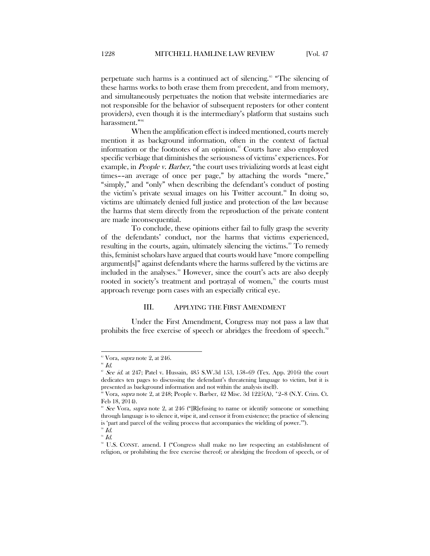perpetuate such harms is a continued act of silencing.<sup>[85](#page-13-1)</sup> "The silencing of these harms works to both erase them from precedent, and from memory, and simultaneously perpetuates the notion that website intermediaries are not responsible for the behavior of subsequent reposters (or other content providers), even though it is the intermediary's platform that sustains such harassment."<sup>[86](#page-13-2)</sup>

When the amplification effect is indeed mentioned, courts merely mention it as background information, often in the context of factual information or the footnotes of an opinion. $\mathscr{C}$  Courts have also employed specific verbiage that diminishes the seriousness of victims' experiences. For example, in People v. Barber, "the court uses trivializing words at least eight times––an average of once per page," by attaching the words "mere," "simply," and "only" when describing the defendant's conduct of posting the victim's private sexual images on his Twitter account.<sup>[88](#page-13-4)</sup> In doing so, victims are ultimately denied full justice and protection of the law because the harms that stem directly from the reproduction of the private content are made inconsequential.

To conclude, these opinions either fail to fully grasp the severity of the defendants' conduct, nor the harms that victims experienced, resulting in the courts, again, ultimately silencing the victims.<sup>[89](#page-13-5)</sup> To remedy this, feminist scholars have argued that courts would have "more compelling argument[s]" against defendants where the harms suffered by the victims are included in the analyses.<sup>30</sup> However, since the court's acts are also deeply rooted in society's treatment and portrayal of women,<sup>[91](#page-13-7)</sup> the courts must approach revenge porn cases with an especially critical eye.

#### III. APPLYING THE FIRST AMENDMENT

<span id="page-13-0"></span>Under the First Amendment, Congress may not pass a law that prohibits the free exercise of speech or abridges the freedom of speech.<sup>[92](#page-13-8)</sup>

<span id="page-13-2"></span><span id="page-13-1"></span> $85$  Vora, *supra* note 2, at 246.

 $^{86}$   $Id.$ 

<span id="page-13-3"></span> $87$  See id. at 247; Patel v. Hussain, 485 S.W.3d 153, 158-69 (Tex. App. 2016) (the court dedicates ten pages to discussing the defendant's threatening language to victim, but it is presented as background information and not within the analysis itself).

<span id="page-13-4"></span><sup>88</sup> Vora, supra note 2, at 248; People v. Barber, 42 Misc. 3d 1225(A), \*2–8 (N.Y. Crim. Ct. Feb 18, 2014).

<span id="page-13-5"></span> $86$  See Vora, supra note 2, at 246 ("[R]efusing to name or identify someone or something through language is to silence it, wipe it, and censor it from existence; the practice of silencing is 'part and parcel of the veiling process that accompanies the wielding of power.'").

<span id="page-13-7"></span><span id="page-13-6"></span> $^{90}$  Id.  $\hspace{0.1 cm}^{91}$   $Id.$ 

<span id="page-13-8"></span><sup>&</sup>lt;sup>92</sup> U.S. CONST. amend. I ("Congress shall make no law respecting an establishment of religion, or prohibiting the free exercise thereof; or abridging the freedom of speech, or of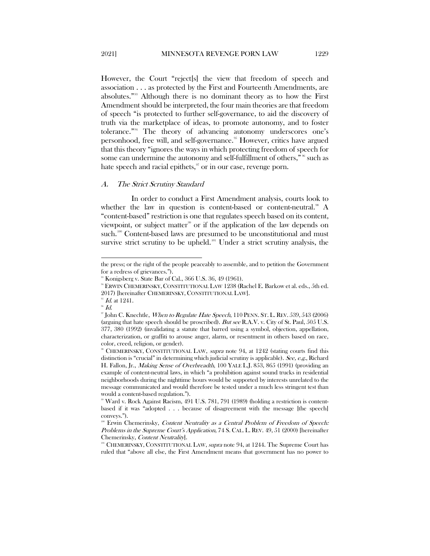However, the Court "reject[s] the view that freedom of speech and association . . . as protected by the First and Fourteenth Amendments, are absolutes."[93](#page-14-1) Although there is no dominant theory as to how the First Amendment should be interpreted, the four main theories are that freedom of speech "is protected to further self-governance, to aid the discovery of truth via the marketplace of ideas, to promote autonomy, and to foster tolerance."[94](#page-14-2) The theory of advancing autonomy underscores one's personhood, free will, and self-governance.<sup>[95](#page-14-3)</sup> However, critics have argued that this theory "ignores the ways in which protecting freedom of speech for some can undermine the autonomy and self-fulfillment of others,"<sup>36</sup> such as hate speech and racial epithets, $\frac{97}{10}$  $\frac{97}{10}$  $\frac{97}{10}$  or in our case, revenge porn.

#### <span id="page-14-0"></span>A. The Strict Scrutiny Standard

In order to conduct a First Amendment analysis, courts look to whether the law in question is content-based or content-neutral.<sup>38</sup> A "content-based" restriction is one that regulates speech based on its content, viewpoint, or subject matter<sup>[99](#page-14-7)</sup> or if the application of the law depends on such.<sup>[100](#page-14-8)</sup> Content-based laws are presumed to be unconstitutional and must survive strict scrutiny to be upheld.<sup>[101](#page-14-9)</sup> Under a strict scrutiny analysis, the

the press; or the right of the people peaceably to assemble, and to petition the Government for a redress of grievances.").

Konigsberg v. State Bar of Cal., 366 U.S. 36, 49 (1961).

<span id="page-14-2"></span><span id="page-14-1"></span><sup>94</sup> ERWIN CHEMERINSKY, CONSTITUTIONAL LAW 1238 (Rachel E. Barkow et al. eds., 5th ed. 2017) [hereinafter CHEMERINSKY, CONSTITUTIONAL LAW]. <sup>95</sup> Id. at 1241.

<span id="page-14-4"></span><span id="page-14-3"></span> $^{\circ\circ}$   $Id.$ 

<span id="page-14-5"></span><sup>&</sup>lt;sup>97</sup> John C. Knechtle, *When to Regulate Hate Speech*, 110 PENN. ST. L. REV. 539, 543 (2006) (arguing that hate speech should be proscribed). But see R.A.V. v. City of St. Paul, 505 U.S. 377, 380 (1992) (invalidating a statute that barred using a symbol, objection, appellation, characterization, or graffiti to arouse anger, alarm, or resentment in others based on race, color, creed, religion, or gender).

<span id="page-14-6"></span>CHEMERINSKY, CONSTITUTIONAL LAW, supra note 94, at 1242 (stating courts find this distinction is "crucial" in determining which judicial scrutiny is applicable). See, e.g., Richard H. Fallon, Jr., Making Sense of Overbreadth, 100 YALE L.J. 853, 865 (1991) (providing an example of content-neutral laws, in which "a prohibition against sound trucks in residential neighborhoods during the nighttime hours would be supported by interests unrelated to the message communicated and would therefore be tested under a much less stringent test than would a content-based regulation.").

<span id="page-14-7"></span><sup>&</sup>lt;sup>99</sup> Ward v. Rock Against Racism, 491 U.S. 781, 791 (1989) (holding a restriction is contentbased if it was "adopted . . . because of disagreement with the message [the speech] conveys.").

<span id="page-14-8"></span>Erwin Chemerinsky, Content Neutrality as a Central Problem of Freedom of Speech: Problems in the Supreme Court's Application, 74 S. CAL. L. REV. 49, 51 (2000) [hereinafter Chemerinsky, *Content Neutrality*].<br><sup>101</sup> CHEMERINSKY, CONSTITUTIONAL LAW, *supra* note 94, at 1244. The Supreme Court has

<span id="page-14-9"></span>ruled that "above all else, the First Amendment means that government has no power to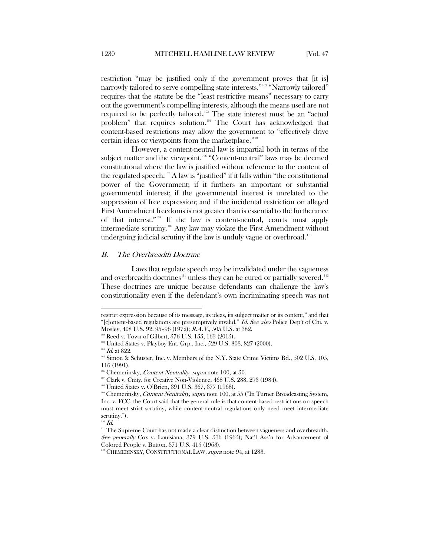restriction "may be justified only if the government proves that [it is] narrowly tailored to serve compelling state interests."<sup>[102](#page-15-1)</sup> "Narrowly tailored" requires that the statute be the "least restrictive means" necessary to carry out the government's compelling interests, although the means used are not required to be perfectly tailored.[103](#page-15-2) The state interest must be an "actual problem" that requires solution.[104](#page-15-3) The Court has acknowledged that content-based restrictions may allow the government to "effectively drive certain ideas or viewpoints from the marketplace."[105](#page-15-4)

However, a content-neutral law is impartial both in terms of the subject matter and the viewpoint.<sup>[106](#page-15-5)</sup> "Content-neutral" laws may be deemed constitutional where the law is justified without reference to the content of the regulated speech.<sup>[107](#page-15-6)</sup> A law is "justified" if it falls within "the constitutional power of the Government; if it furthers an important or substantial governmental interest; if the governmental interest is unrelated to the suppression of free expression; and if the incidental restriction on alleged First Amendment freedoms is not greater than is essential to the furtherance of that interest."[108](#page-15-7) If the law is content-neutral, courts must apply intermediate scrutiny.[109](#page-15-8) Any law may violate the First Amendment without undergoing judicial scrutiny if the law is unduly vague or overbroad.<sup>[110](#page-15-9)</sup>

#### <span id="page-15-0"></span>B. The Overbreadth Doctrine

Laws that regulate speech may be invalidated under the vagueness and overbreadth doctrines<sup>[111](#page-15-10)</sup> unless they can be cured or partially severed.<sup>[112](#page-15-11)</sup> These doctrines are unique because defendants can challenge the law's constitutionality even if the defendant's own incriminating speech was not

restrict expression because of its message, its ideas, its subject matter or its content," and that "[c]ontent-based regulations are presumptively invalid." *Id. See also* Police Dep't of Chi. v. Mosley, 408 U.S. 92, 95–96 (1972); R.A.V., 505 U.S. at 382.

<span id="page-15-2"></span><span id="page-15-1"></span><sup>&</sup>lt;sup>102</sup> Reed v. Town of Gilbert, 576 U.S. 155, 163 (2015).

<sup>103</sup> United States v. Playboy Ent. Grp., Inc., 529 U.S. 803, 827 (2000).

<span id="page-15-3"></span> $104$  Id. at 822.

<span id="page-15-4"></span><sup>&</sup>lt;sup>105</sup> Simon & Schuster, Inc. v. Members of the N.Y. State Crime Victims Bd., 502 U.S. 105, 116 (1991).

 $106$  Chemerinsky, *Content Neutrality*, *supra* note 100, at 50.

<span id="page-15-6"></span><span id="page-15-5"></span><sup>&</sup>lt;sup>107</sup> Clark v. Cmty. for Creative Non-Violence, 468 U.S. 288, 293 (1984).

<sup>&</sup>lt;sup>108</sup> United States v. O'Brien, 391 U.S. 367, 377 (1968).

<span id="page-15-8"></span><span id="page-15-7"></span><sup>&</sup>lt;sup>109</sup> Chemerinsky, Content Neutrality, supra note 100, at 55 ("In Turner Broadcasting System, Inc. v. FCC, the Court said that the general rule is that content-based restrictions on speech must meet strict scrutiny, while content-neutral regulations only need meet intermediate scrutiny.").

 $\mathcal{I}$ d.

<span id="page-15-10"></span><span id="page-15-9"></span><sup>&</sup>lt;sup>111</sup> The Supreme Court has not made a clear distinction between vagueness and overbreadth. See generally Cox v. Louisiana, 379 U.S. 536 (1965); Nat'l Ass'n for Advancement of Colored People v. Button, 371 U.S. 415 (1963).

<span id="page-15-11"></span><sup>&</sup>lt;sup>112</sup> CHEMERINSKY, CONSTITUTIONAL LAW, *supra* note 94, at 1283.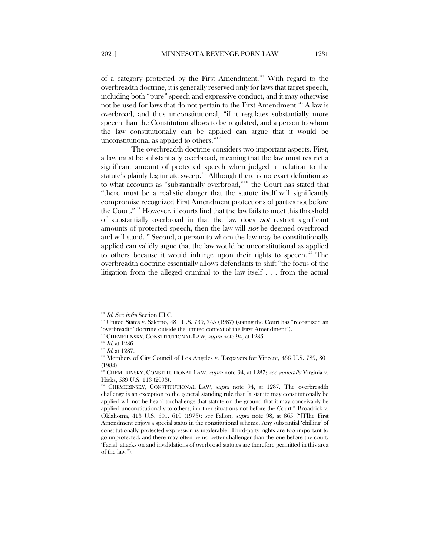of a category protected by the First Amendment.[113](#page-16-0) With regard to the overbreadth doctrine, it is generally reserved only for laws that target speech, including both "pure" speech and expressive conduct, and it may otherwise not be used for laws that do not pertain to the First Amendment.<sup>[114](#page-16-1)</sup> A law is overbroad, and thus unconstitutional, "if it regulates substantially more speech than the Constitution allows to be regulated, and a person to whom the law constitutionally can be applied can argue that it would be unconstitutional as applied to others.["115](#page-16-2)

The overbreadth doctrine considers two important aspects. First, a law must be substantially overbroad, meaning that the law must restrict a significant amount of protected speech when judged in relation to the statute's plainly legitimate sweep.<sup>[116](#page-16-3)</sup> Although there is no exact definition as to what accounts as "substantially overbroad,"[117](#page-16-4) the Court has stated that "there must be a realistic danger that the statute itself will significantly compromise recognized First Amendment protections of parties not before the Court."[118](#page-16-5) However, if courts find that the law fails to meet this threshold of substantially overbroad in that the law does not restrict significant amounts of protected speech, then the law will not be deemed overbroad and will stand.[119](#page-16-6) Second, a person to whom the law may be constitutionally applied can validly argue that the law would be unconstitutional as applied to others because it would infringe upon their rights to speech.<sup>[120](#page-16-7)</sup> The overbreadth doctrine essentially allows defendants to shift "the focus of the litigation from the alleged criminal to the law itself . . . from the actual

<span id="page-16-0"></span><sup>&</sup>lt;sup>113</sup> Id. See infra Section III.C.

<span id="page-16-1"></span> $^{\rm 111}$  United States v. Salerno, 481 U.S. 739, 745 (1987) (stating the Court has "recognized an 'overbreadth' doctrine outside the limited context of the First Amendment").

<sup>&</sup>lt;sup>115</sup> CHEMERINSKY, CONSTITUTIONAL LAW, *supra* note 94, at 1285.

<span id="page-16-2"></span> $^{116}$   $\emph{Id.}$  at 1286.

<span id="page-16-5"></span><span id="page-16-4"></span><span id="page-16-3"></span> $117$  *Id.* at 1287.

<sup>&</sup>lt;sup>118</sup> Members of City Council of Los Angeles v. Taxpayers for Vincent, 466 U.S. 789, 801 (1984).

<span id="page-16-6"></span><sup>&</sup>lt;sup>119</sup> CHEMERINSKY, CONSTITUTIONAL LAW, *supra* note 94, at 1287; see generally Virginia v. Hicks, 539 U.S. 113 (2003).

<span id="page-16-7"></span>CHEMERINSKY, CONSTITUTIONAL LAW, supra note 94, at 1287. The overbreadth challenge is an exception to the general standing rule that "a statute may constitutionally be applied will not be heard to challenge that statute on the ground that it may conceivably be applied unconstitutionally to others, in other situations not before the Court." Broadrick v. Oklahoma, 413 U.S. 601, 610 (1973); see Fallon, supra note 98, at 865 ("[T]he First Amendment enjoys a special status in the constitutional scheme. Any substantial 'chilling' of constitutionally protected expression is intolerable. Third-party rights are too important to go unprotected, and there may often be no better challenger than the one before the court. 'Facial' attacks on and invalidations of overbroad statutes are therefore permitted in this area of the law.").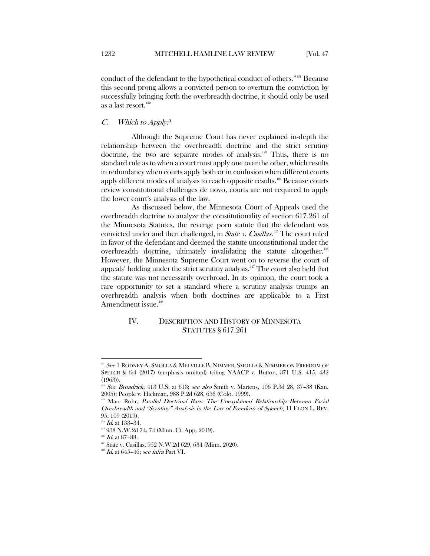conduct of the defendant to the hypothetical conduct of others.["121](#page-17-2) Because this second prong allows a convicted person to overturn the conviction by successfully bringing forth the overbreadth doctrine, it should only be used as a last resort.<sup>[122](#page-17-3)</sup>

#### <span id="page-17-0"></span> $C.$  Which to Apply?

Although the Supreme Court has never explained in-depth the relationship between the overbreadth doctrine and the strict scrutiny doctrine, the two are separate modes of analysis. $123$  Thus, there is no standard rule as to when a court must apply one over the other, which results in redundancy when courts apply both or in confusion when different courts apply different modes of analysis to reach opposite results.<sup>[124](#page-17-5)</sup> Because courts review constitutional challenges de novo, courts are not required to apply the lower court's analysis of the law.

As discussed below, the Minnesota Court of Appeals used the overbreadth doctrine to analyze the constitutionality of section 617.261 of the Minnesota Statutes, the revenge porn statute that the defendant was convicted under and then challenged, in *State v. Casillas*.<sup>[125](#page-17-6)</sup> The court ruled in favor of the defendant and deemed the statute unconstitutional under the overbreadth doctrine, ultimately invalidating the statute altogether.<sup>[126](#page-17-7)</sup> However, the Minnesota Supreme Court went on to reverse the court of appeals' holding under the strict scrutiny analysis.<sup>[127](#page-17-8)</sup> The court also held that the statute was not necessarily overbroad. In its opinion, the court took a rare opportunity to set a standard where a scrutiny analysis trumps an overbreadth analysis when both doctrines are applicable to a First Amendment issue. $128$ 

# <span id="page-17-1"></span>IV. DESCRIPTION AND HISTORY OF MINNESOTA STATUTES § 617.261

<span id="page-17-2"></span> $^{121}$   $See$  1 Rodney A. Smolla & Melville B. Nimmer. Smolla & Nimmer on Freedom of SPEECH § 6:4 (2017) (emphasis omitted) (citing NAACP v. Button, 371 U.S. 415, 432 (1963)).

<span id="page-17-3"></span><sup>&</sup>lt;sup>122</sup> See Broadrick, 413 U.S. at 613; see also Smith v. Martens, 106 P.3d 28, 37–38 (Kan. 2005); People v. Hickman, 988 P.2d 628, 636 (Colo. 1999).

<span id="page-17-4"></span>Marc Rohr, Parallel Doctrinal Bars: The Unexplained Relationship Between Facial Overbreadth and "Scrutiny" Analysis in the Law of Freedom of Speech, 11 ELON L. REV. 95, 109 (2019).

 $124$  *Id.* at 133-34.

<span id="page-17-6"></span><span id="page-17-5"></span><sup>125 938</sup> N.W.2d 74, 74 (Minn. Ct. App. 2019).

<span id="page-17-7"></span> $126$  Id. at 87-88.

<span id="page-17-8"></span><sup>&</sup>lt;sup>127</sup> State v. Casillas, 952 N.W.2d 629, 634 (Minn. 2020).

<span id="page-17-9"></span> $128$  *Id.* at 645-46; see infra Part VI.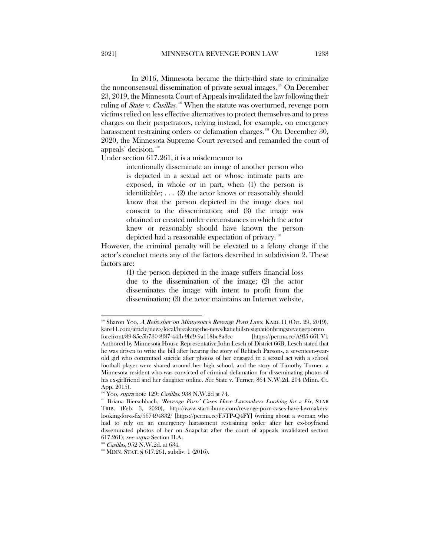In 2016, Minnesota became the thirty-third state to criminalize the nonconsensual dissemination of private sexual images.<sup>[129](#page-18-0)</sup> On December 23, 2019, the Minnesota Court of Appeals invalidated the law following their ruling of *State v. Casillas*.<sup>[130](#page-18-1)</sup> When the statute was overturned, revenge porn victims relied on less effective alternatives to protect themselves and to press charges on their perpetrators, relying instead, for example, on emergency harassment restraining orders or defamation charges.<sup>[131](#page-18-2)</sup> On December 30, 2020, the Minnesota Supreme Court reversed and remanded the court of appeals' decision.<sup>[132](#page-18-3)</sup>

Under section 617.261, it is a misdemeanor to

intentionally disseminate an image of another person who is depicted in a sexual act or whose intimate parts are exposed, in whole or in part, when (1) the person is identifiable; . . . (2) the actor knows or reasonably should know that the person depicted in the image does not consent to the dissemination; and (3) the image was obtained or created under circumstances in which the actor knew or reasonably should have known the person depicted had a reasonable expectation of privacy.<sup>[133](#page-18-4)</sup>

However, the criminal penalty will be elevated to a felony charge if the actor's conduct meets any of the factors described in subdivision 2. These factors are:

> (1) the person depicted in the image suffers financial loss due to the dissemination of the image; (2) the actor disseminates the image with intent to profit from the dissemination; (3) the actor maintains an Internet website,

<span id="page-18-0"></span>Sharon Yoo, A Refresher on Minnesota's Revenge Porn Laws, KARE 11 (Oct. 29, 2019), kare11.com/article/news/local/breaking-the-news/katiehillsresignationbringsrevengepornto forefront/89-85e5b730-8f87-44fb-9bf9-9a118bc8a3cc [https://perma.cc/A9J5-66UV]. Authored by Minnesota House Representative John Lesch of District 66B, Lesch stated that he was driven to write the bill after hearing the story of Rehtaeh Parsons, a seventeen-yearold girl who committed suicide after photos of her engaged in a sexual act with a school football player were shared around her high school, and the story of Timothy Turner, a Minnesota resident who was convicted of criminal defamation for disseminating photos of his ex-girlfriend and her daughter online. See State v. Turner, 864 N.W.2d. 204 (Minn. Ct. App. 2015).

<sup>&</sup>lt;sup>30</sup> Yoo, *supra* note 129; *Casillas*, 938 N.W.2d at 74.

<span id="page-18-2"></span><span id="page-18-1"></span><sup>&</sup>lt;sup>131</sup> Briana Bierschbach, 'Revenge Porn' Cases Have Lawmakers Looking for a Fix, STAR TRIB. (Feb. 3, 2020), http://www.startribune.com/revenge-porn-cases-have-lawmakerslooking-for-a-fix/567494832/ [https://perma.cc/F5TP-Q4FY] (writing about a woman who had to rely on an emergency harassment restraining order after her ex-boyfriend disseminated photos of her on Snapchat after the court of appeals invalidated section 617.261); see supra Section II.A.

<sup>&</sup>lt;sup>132</sup> Casillas, 952 N.W.2d. at 634.

<span id="page-18-4"></span><span id="page-18-3"></span><sup>&</sup>lt;sup>133</sup> MINN. STAT. § 617.261, subdiv. 1 (2016).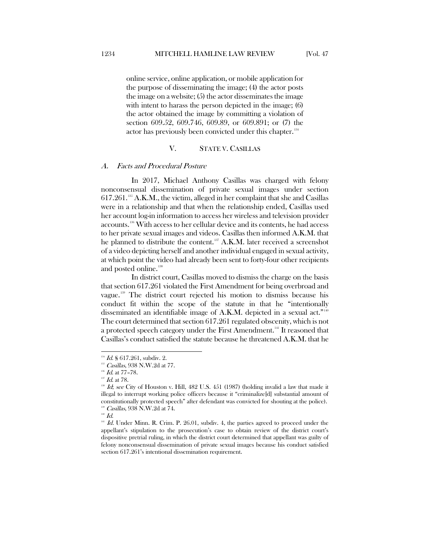online service, online application, or mobile application for the purpose of disseminating the image; (4) the actor posts the image on a website; (5) the actor disseminates the image with intent to harass the person depicted in the image; (6) the actor obtained the image by committing a violation of section 609.52, 609.746, 609.89, or 609.891; or (7) the actor has previously been convicted under this chapter.<sup>[134](#page-19-2)</sup>

#### V. STATE V. CASILLAS

#### <span id="page-19-1"></span><span id="page-19-0"></span>A. Facts and Procedural Posture

In 2017, Michael Anthony Casillas was charged with felony nonconsensual dissemination of private sexual images under section  $617.261$ <sup>[135](#page-19-3)</sup> A.K.M., the victim, alleged in her complaint that she and Casillas were in a relationship and that when the relationship ended, Casillas used her account log-in information to access her wireless and television provider accounts.[136](#page-19-4) With access to her cellular device and its contents, he had access to her private sexual images and videos. Casillas then informed A.K.M. that he planned to distribute the content.<sup>[137](#page-19-5)</sup> A.K.M. later received a screenshot of a video depicting herself and another individual engaged in sexual activity, at which point the video had already been sent to forty-four other recipients and posted online.<sup>[138](#page-19-6)</sup>

In district court, Casillas moved to dismiss the charge on the basis that section 617.261 violated the First Amendment for being overbroad and vague.[139](#page-19-7) The district court rejected his motion to dismiss because his conduct fit within the scope of the statute in that he "intentionally disseminated an identifiable image of A.K.M. depicted in a sexual act."<sup>[140](#page-19-8)</sup> The court determined that section 617.261 regulated obscenity, which is not a protected speech category under the First Amendment.<sup>[141](#page-19-9)</sup> It reasoned that Casillas's conduct satisfied the statute because he threatened A.K.M. that he

<span id="page-19-2"></span> $134$  *Id.* § 617.261, subdiv. 2.

<sup>&</sup>lt;sup>135</sup> Casillas, 938 N.W.2d at 77.

<span id="page-19-4"></span><span id="page-19-3"></span> $^{136}$  *Id.* at 77-78.

<span id="page-19-5"></span> $137$  *Id.* at 78.

<span id="page-19-6"></span><sup>&</sup>lt;sup>138</sup> Id; see City of Houston v. Hill, 482 U.S. 451 (1987) (holding invalid a law that made it illegal to interrupt working police officers because it "criminalize[d] substantial amount of constitutionally protected speech" after defendant was convicted for shouting at the police).  $139$  Casillas, 938 N.W.2d at 74.

<span id="page-19-8"></span><span id="page-19-7"></span> $^{140}$   $\emph{Id.}$ 

<span id="page-19-9"></span> $141$  Id. Under Minn. R. Crim. P. 26.01, subdiv. 4, the parties agreed to proceed under the appellant's stipulation to the prosecution's case to obtain review of the district court's dispositive pretrial ruling, in which the district court determined that appellant was guilty of felony nonconsensual dissemination of private sexual images because his conduct satisfied section 617.261's intentional dissemination requirement.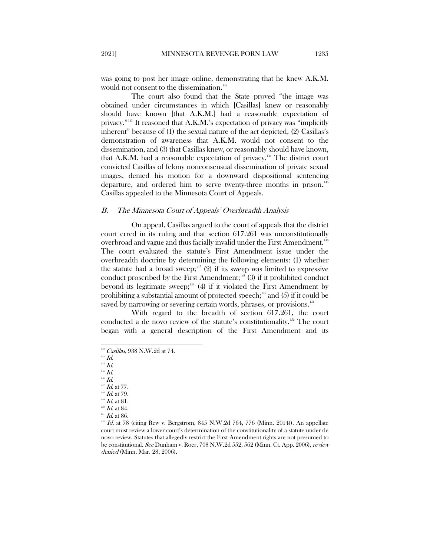was going to post her image online, demonstrating that he knew A.K.M. would not consent to the dissemination.<sup>[142](#page-20-1)</sup>

The court also found that the State proved "the image was obtained under circumstances in which [Casillas] knew or reasonably should have known [that A.K.M.] had a reasonable expectation of privacy."[143](#page-20-2) It reasoned that A.K.M.'s expectation of privacy was "implicitly inherent" because of (1) the sexual nature of the act depicted, (2) Casillas's demonstration of awareness that A.K.M. would not consent to the dissemination, and (3) that Casillas knew, or reasonably should have known, that A.K.M. had a reasonable expectation of privacy.<sup>14</sup> The district court convicted Casillas of felony nonconsensual dissemination of private sexual images, denied his motion for a downward dispositional sentencing departure, and ordered him to serve twenty-three months in prison.<sup>[145](#page-20-4)</sup> Casillas appealed to the Minnesota Court of Appeals.

#### <span id="page-20-0"></span>B. The Minnesota Court of Appeals' Overbreadth Analysis

On appeal, Casillas argued to the court of appeals that the district court erred in its ruling and that section 617.261 was unconstitutionally overbroad and vague and thus facially invalid under the First Amendment.<sup>[146](#page-20-5)</sup> The court evaluated the statute's First Amendment issue under the overbreadth doctrine by determining the following elements: (1) whether the statute had a broad sweep; $147$  (2) if its sweep was limited to expressive conduct proscribed by the First Amendment;<sup>[148](#page-20-7)</sup> (3) if it prohibited conduct beyond its legitimate sweep;<sup>[149](#page-20-8)</sup> (4) if it violated the First Amendment by prohibiting a substantial amount of protected speech;<sup>150</sup> and (5) if it could be saved by narrowing or severing certain words, phrases, or provisions.<sup>[151](#page-20-10)</sup>

With regard to the breadth of section 617.261, the court conducted a de novo review of the statute's constitutionality.[152](#page-20-11) The court began with a general description of the First Amendment and its

 $\overline{a}$ 

<span id="page-20-4"></span> $^{145}$   $\emph{Id.}$  $^{146}$   $\emph{Id.}$ 

<span id="page-20-1"></span> $142$  Casillas, 938 N.W.2d at 74.

 $^{143}$  *Id.* 

<span id="page-20-3"></span><span id="page-20-2"></span> $^{14}$   $\emph{Id.}$ 

<span id="page-20-5"></span> $147$  *Id.* at 77.

<span id="page-20-7"></span><span id="page-20-6"></span> $^{148}$  *Id.* at 79.

<span id="page-20-8"></span> $^{149}$  *Id.* at 81.

 $^{150}$  *Id.* at 84.

<span id="page-20-10"></span><span id="page-20-9"></span> $151$  *Id.* at 86.

<span id="page-20-11"></span> $152$  Id. at 78 (citing Rew v. Bergstrom, 845 N.W.2d 764, 776 (Minn. 2014)). An appellate court must review a lower court's determination of the constitutionality of a statute under de novo review. Statutes that allegedly restrict the First Amendment rights are not presumed to be constitutional. See Dunham v. Roer, 708 N.W.2d 552, 562 (Minn. Ct. App. 2006), review denied (Minn. Mar. 28, 2006).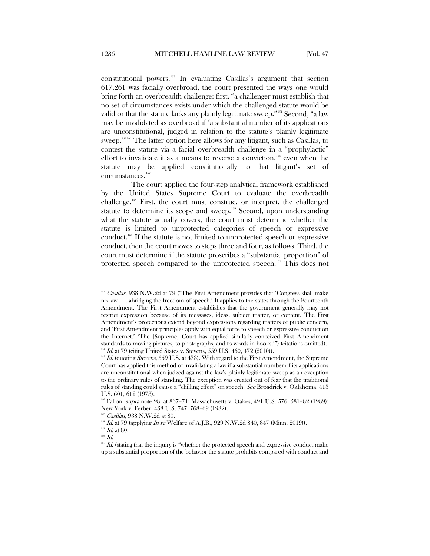constitutional powers.[153](#page-21-0) In evaluating Casillas's argument that section 617.261 was facially overbroad, the court presented the ways one would bring forth an overbreadth challenge: first, "a challenger must establish that no set of circumstances exists under which the challenged statute would be valid or that the statute lacks any plainly legitimate sweep."<sup>[154](#page-21-1)</sup> Second, "a law may be invalidated as overbroad if 'a substantial number of its applications are unconstitutional, judged in relation to the statute's plainly legitimate sweep.'"[155](#page-21-2) The latter option here allows for any litigant, such as Casillas, to contest the statute via a facial overbreadth challenge in a "prophylactic" effort to invalidate it as a means to reverse a conviction,<sup>[156](#page-21-3)</sup> even when the statute may be applied constitutionally to that litigant's set of circumstances.<sup>[157](#page-21-4)</sup>

The court applied the four-step analytical framework established by the United States Supreme Court to evaluate the overbreadth challenge.[158](#page-21-5) First, the court must construe, or interpret, the challenged statute to determine its scope and sweep.<sup>159</sup> Second, upon understanding what the statute actually covers, the court must determine whether the statute is limited to unprotected categories of speech or expressive conduct.[160](#page-21-7) If the statute is not limited to unprotected speech or expressive conduct, then the court moves to steps three and four, as follows. Third, the court must determine if the statute proscribes a "substantial proportion" of protected speech compared to the unprotected speech.<sup>[161](#page-21-8)</sup> This does not

<span id="page-21-0"></span> $153$  Casillas, 938 N.W.2d at 79 ("The First Amendment provides that 'Congress shall make no law . . . abridging the freedom of speech.' It applies to the states through the Fourteenth Amendment. The First Amendment establishes that the government generally may not restrict expression because of its messages, ideas, subject matter, or content. The First Amendment's protections extend beyond expressions regarding matters of public concern, and 'First Amendment principles apply with equal force to speech or expressive conduct on the Internet.' 'The [Supreme] Court has applied similarly conceived First Amendment standards to moving pictures, to photographs, and to words in books.'") (citations omitted). <sup>154</sup> Id. at 79 (citing United States v. Stevens, 559 U.S. 460, 472 (2010)).

<span id="page-21-2"></span><span id="page-21-1"></span> $155$  Id. (quoting Stevens, 559 U.S. at 473). With regard to the First Amendment, the Supreme Court has applied this method of invalidating a law if a substantial number of its applications are unconstitutional when judged against the law's plainly legitimate sweep as an exception to the ordinary rules of standing. The exception was created out of fear that the traditional rules of standing could cause a "chilling effect" on speech. See Broadrick v. Oklahoma, 413 U.S. 601, 612 (1973).

<span id="page-21-3"></span><sup>&</sup>lt;sup>156</sup> Fallon, *supra* note 98, at 867-71; Massachusetts v. Oakes, 491 U.S. 576, 581-82 (1989); New York v. Ferber, 458 U.S. 747, 768–69 (1982).

Casillas, 938 N.W.2d at 80.

<span id="page-21-4"></span> $16.4$  at 79 (applying  $In$  re Welfare of A.J.B., 929 N.W.2d 840, 847 (Minn. 2019)).

 $^{159}$  *Id.* at 80.

<span id="page-21-8"></span><span id="page-21-7"></span><span id="page-21-6"></span><span id="page-21-5"></span> $160$   $Id.$ 

 $161$  Id. (stating that the inquiry is "whether the protected speech and expressive conduct make up a substantial proportion of the behavior the statute prohibits compared with conduct and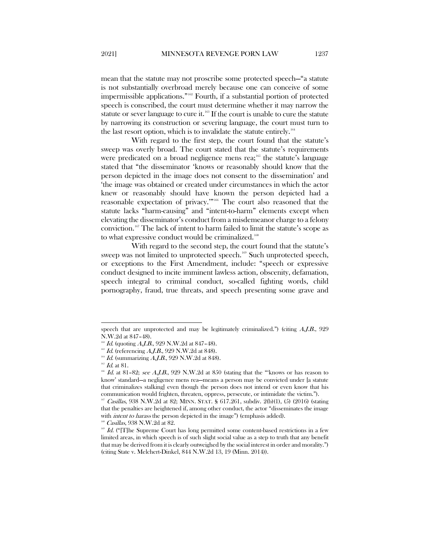mean that the statute may not proscribe some protected speech—"a statute is not substantially overbroad merely because one can conceive of some impermissible applications." [162](#page-22-0) Fourth, if a substantial portion of protected speech is conscribed, the court must determine whether it may narrow the statute or sever language to cure it.<sup>[163](#page-22-1)</sup> If the court is unable to cure the statute by narrowing its construction or severing language, the court must turn to the last resort option, which is to invalidate the statute entirely.<sup>[164](#page-22-2)</sup>

With regard to the first step, the court found that the statute's sweep was overly broad. The court stated that the statute's requirements were predicated on a broad negligence mens rea;<sup>165</sup> the statute's language stated that "the disseminator 'knows or reasonably should know that the person depicted in the image does not consent to the dissemination' and 'the image was obtained or created under circumstances in which the actor knew or reasonably should have known the person depicted had a reasonable expectation of privacy.'"[166](#page-22-4) The court also reasoned that the statute lacks "harm-causing" and "intent-to-harm" elements except when elevating the disseminator's conduct from a misdemeanor charge to a felony conviction.[167](#page-22-5) The lack of intent to harm failed to limit the statute's scope as to what expressive conduct would be criminalized.<sup>[168](#page-22-6)</sup>

With regard to the second step, the court found that the statute's sweep was not limited to unprotected speech.<sup>169</sup> Such unprotected speech, or exceptions to the First Amendment, include: "speech or expressive conduct designed to incite imminent lawless action, obscenity, defamation, speech integral to criminal conduct, so-called fighting words, child pornography, fraud, true threats, and speech presenting some grave and

speech that are unprotected and may be legitimately criminalized.") (citing  $A, I, B, 929$ N.W.2d at 847–48).

 $1d.$  (quoting A.J.B., 929 N.W.2d at 847-48).

<span id="page-22-1"></span><span id="page-22-0"></span> $^{163}$  *Id.* (referencing *A.J.B.*, 929 N.W.2d at 848).

<span id="page-22-2"></span> $^{164}$  *Id.* (summarizing A.J.B., 929 N.W.2d at 848).

 $165$  *Id.* at 81.

<span id="page-22-4"></span><span id="page-22-3"></span> $166$  Id. at 81–82; see A.J.B., 929 N.W.2d at 850 (stating that the "'knows or has reason to know' standard—a negligence mens rea—means a person may be convicted under [a statute that criminalizes stalking] even though the person does not intend or even know that his communication would frighten, threaten, oppress, persecute, or intimidate the victim.").

<span id="page-22-5"></span>Casillas, 938 N.W.2d at 82; MINN. STAT. § 617.261, subdiv. 2(b)(1), (5) (2016) (stating that the penalties are heightened if, among other conduct, the actor "disseminates the image with *intent to harass* the person depicted in the image") (emphasis added).

Casillas, 938 N.W.2d at 82.

<span id="page-22-7"></span><span id="page-22-6"></span><sup>&</sup>lt;sup>169</sup> Id. ("[T]he Supreme Court has long permitted some content-based restrictions in a few limited areas, in which speech is of such slight social value as a step to truth that any benefit that may be derived from it is clearly outweighed by the social interest in order and morality.") (citing State v. Melchert-Dinkel, 844 N.W.2d 13, 19 (Minn. 2014)).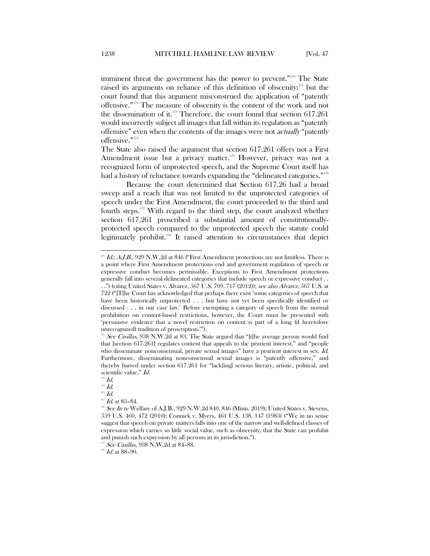imminent threat the government has the power to prevent."<sup>[170](#page-23-0)</sup> The State raised its arguments on reliance of this definition of obscenity; $171$  but the court found that this argument misconstrued the application of "patently offensive."[172](#page-23-2) The measure of obscenity is the content of the work and not the dissemination of it. $^{173}$  $^{173}$  $^{173}$  Therefore, the court found that section 617.261 would incorrectly subject all images that fall within its regulation as "patently offensive" even when the contents of the images were not actually "patently offensive."<sup>[174](#page-23-4)</sup>

The State also raised the argument that section 617.261 offers not a First Amendment issue but a privacy matter.<sup>[175](#page-23-5)</sup> However, privacy was not a recognized form of unprotected speech, and the Supreme Court itself has had a history of reluctance towards expanding the "delineated categories."<sup>[176](#page-23-6)</sup>

Because the court determined that Section 617.26 had a broad sweep and a reach that was not limited to the unprotected categories of speech under the First Amendment, the court proceeded to the third and fourth steps. $177$  With regard to the third step, the court analyzed whether section 617.261 proscribed a substantial amount of constitutionallyprotected speech compared to the unprotected speech the statute could legitimately prohibit.<sup>[178](#page-23-8)</sup> It raised attention to circumstances that depict

<span id="page-23-0"></span> $170$  Id.; A.J.B., 929 N.W.2d at 846 ("First Amendment protections are not limitless. There is a point where First Amendment protections end and government regulation of speech or expressive conduct becomes permissible. Exceptions to First Amendment protections generally fall into several delineated categories that include speech or expressive conduct . . . .") (citing United States v. Alvarez, 567 U.S. 709, 717 (2012)); see also Alvarez, 567 U.S. at 722 ("[T]he Court has acknowledged that perhaps there exist 'some categories of speech that have been historically unprotected . . . but have not yet been specifically identified or discussed . . . in our case law.' Before exempting a category of speech from the normal prohibition on content-based restrictions, however, the Court must be presented with 'persuasive evidence that a novel restriction on content is part of a long (if heretofore unrecognized) tradition of proscription.'").

<span id="page-23-1"></span> $171$  See Casillas, 938 N.W.2d at 83. The State argued that "[t]he average person would find that [section 617.261] regulates content that appeals to the prurient interest," and "people who disseminate nonconsensual, private sexual images" have a prurient interest in sex. Id. Furthermore, disseminating nonconsensual sexual images is "patently offensive," and thereby barred under section 617.261 for "lack[ing] serious literary, artistic, political, and scientific value." Id.

 $172$   $Id.$ 

<span id="page-23-3"></span><span id="page-23-2"></span> $^{^{\mathrm{173}}}$   $\mathit{Id}.$ 

<span id="page-23-4"></span> $^{174}\,$  Id.

 $175$  *Id.* at 83-84.

<span id="page-23-6"></span><span id="page-23-5"></span> $176$  See In re Welfare of A.J.B., 929 N.W.2d 840, 846 (Minn. 2019); United States v. Stevens, 559 U.S. 460, 472 (2010); Connick v. Myers, 461 U.S. 138, 147 (1983) ("We in no sense suggest that speech on private matters falls into one of the narrow and well-defined classes of expression which carries so little social value, such as obscenity, that the State can prohibit and punish such expression by all persons in its jurisdiction.").

<sup>&</sup>lt;sup>177</sup> See Casillas, 938 N.W.2d at 84-88.

<span id="page-23-8"></span><span id="page-23-7"></span> $^{178}$   $\emph{Id.}$  at 88–90.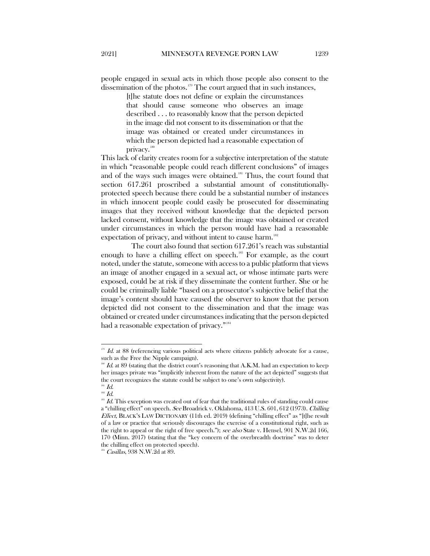people engaged in sexual acts in which those people also consent to the dissemination of the photos.<sup>[179](#page-24-0)</sup> The court argued that in such instances,

> [t]he statute does not define or explain the circumstances that should cause someone who observes an image described . . . to reasonably know that the person depicted in the image did not consent to its dissemination or that the image was obtained or created under circumstances in which the person depicted had a reasonable expectation of privacy.<sup>[180](#page-24-1)</sup>

This lack of clarity creates room for a subjective interpretation of the statute in which "reasonable people could reach different conclusions" of images and of the ways such images were obtained.<sup>[181](#page-24-2)</sup> Thus, the court found that section 617.261 proscribed a substantial amount of constitutionallyprotected speech because there could be a substantial number of instances in which innocent people could easily be prosecuted for disseminating images that they received without knowledge that the depicted person lacked consent, without knowledge that the image was obtained or created under circumstances in which the person would have had a reasonable expectation of privacy, and without intent to cause harm.<sup>[182](#page-24-3)</sup>

The court also found that section 617.261's reach was substantial enough to have a chilling effect on speech. [183](#page-24-4) For example, as the court noted, under the statute, someone with access to a public platform that views an image of another engaged in a sexual act, or whose intimate parts were exposed, could be at risk if they disseminate the content further. She or he could be criminally liable "based on a prosecutor's subjective belief that the image's content should have caused the observer to know that the person depicted did not consent to the dissemination and that the image was obtained or created under circumstances indicating that the person depicted had a reasonable expectation of privacy."<sup>[184](#page-24-5)</sup>

<span id="page-24-0"></span> $179$  Id. at 88 (referencing various political acts where citizens publicly advocate for a cause, such as the Free the Nipple campaign).

<span id="page-24-1"></span> $180$  Id. at 89 (stating that the district court's reasoning that A.K.M. had an expectation to keep her images private was "implicitly inherent from the nature of the act depicted" suggests that the court recognizes the statute could be subject to one's own subjectivity).

 $181$  Id.

<span id="page-24-2"></span> $182$   $Id.$ 

<span id="page-24-4"></span><span id="page-24-3"></span> $183$  Id. This exception was created out of fear that the traditional rules of standing could cause a "chilling effect" on speech. See Broadrick v. Oklahoma, 413 U.S. 601, 612 (1973). Chilling Effect, BLACK'S LAW DICTIONARY (11th ed. 2019) (defining "chilling effect" as "[t]he result of a law or practice that seriously discourages the exercise of a constitutional right, such as the right to appeal or the right of free speech."); see also State v. Hensel, 901 N.W.2d 166, 170 (Minn. 2017) (stating that the "key concern of the overbreadth doctrine" was to deter the chilling effect on protected speech).

<span id="page-24-5"></span> $184$  Casillas, 938 N.W.2d at 89.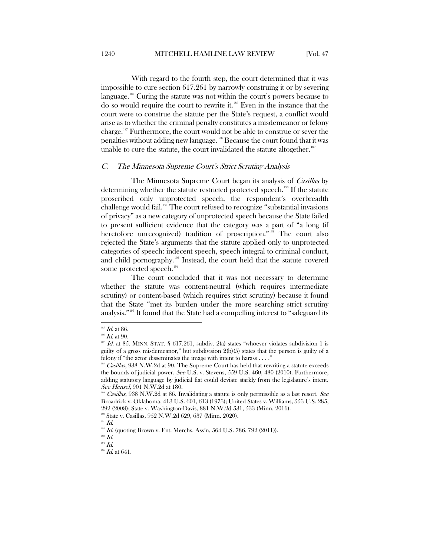With regard to the fourth step, the court determined that it was impossible to cure section 617.261 by narrowly construing it or by severing language.<sup>[185](#page-25-1)</sup> Curing the statute was not within the court's powers because to do so would require the court to rewrite it.[186](#page-25-2) Even in the instance that the court were to construe the statute per the State's request, a conflict would arise as to whether the criminal penalty constitutes a misdemeanor or felony charge.[187](#page-25-3) Furthermore, the court would not be able to construe or sever the penalties without adding new language. [188](#page-25-4) Because the court found that it was unable to cure the statute, the court invalidated the statute altogether.<sup>[189](#page-25-5)</sup>

#### <span id="page-25-0"></span>C. The Minnesota Supreme Court's Strict Scrutiny Analysis

The Minnesota Supreme Court began its analysis of *Casillas* by determining whether the statute restricted protected speech.<sup>190</sup> If the statute proscribed only unprotected speech, the respondent's overbreadth challenge would fail.[191](#page-25-7) The court refused to recognize "substantial invasions of privacy" as a new category of unprotected speech because the State failed to present sufficient evidence that the category was a part of "a long (if heretofore unrecognized) tradition of proscription."<sup>[192](#page-25-8)</sup> The court also rejected the State's arguments that the statute applied only to unprotected categories of speech: indecent speech, speech integral to criminal conduct, and child pornography.<sup>[193](#page-25-9)</sup> Instead, the court held that the statute covered some protected speech.<sup>[194](#page-25-10)</sup>

The court concluded that it was not necessary to determine whether the statute was content-neutral (which requires intermediate scrutiny) or content-based (which requires strict scrutiny) because it found that the State "met its burden under the more searching strict scrutiny analysis.["195](#page-25-11) It found that the State had a compelling interest to "safeguard its

 $\overline{a}$  $^{185}$   $Id.$  at  $86.$ 

<span id="page-25-1"></span> $^{186}$  *Id.* at 90.

<span id="page-25-3"></span><span id="page-25-2"></span> $187$  Id. at 85. MINN. STAT. § 617.261, subdiv. 2(a) states "whoever violates subdivision 1 is guilty of a gross misdemeanor," but subdivision 2(b)(5) states that the person is guilty of a felony if "the actor disseminates the image with intent to harass . . . ."

<span id="page-25-4"></span><sup>&</sup>lt;sup>188</sup> Casillas, 938 N.W.2d at 90. The Supreme Court has held that rewriting a statute exceeds the bounds of judicial power. See U.S. v. Stevens, 559 U.S. 460, 480 (2010). Furthermore, adding statutory language by judicial fiat could deviate starkly from the legislature's intent. See Hensel, 901 N.W.2d at 180.

<span id="page-25-5"></span>Casillas, 938 N.W.2d at 86. Invalidating a statute is only permissible as a last resort. See Broadrick v. Oklahoma, 413 U.S. 601, 613 (1973); United States v. Williams, 553 U.S. 285, 292 (2008); State v. Washington-Davis, 881 N.W.2d 531, 533 (Minn. 2016).

<span id="page-25-6"></span>State v. Casillas, 952 N.W.2d 629, 637 (Minn. 2020).

 $191$   $Id.$ 

<span id="page-25-8"></span><span id="page-25-7"></span> $192$  *Id.* (quoting Brown v. Ent. Merchs. Ass'n, 564 U.S. 786, 792 (2011)).

<span id="page-25-10"></span><span id="page-25-9"></span> $^{193}$   $\emph{Id.}$ 

<span id="page-25-11"></span> $^{194}$   $\emph{Id.}$ 

 $^{195}$  *Id.* at 641.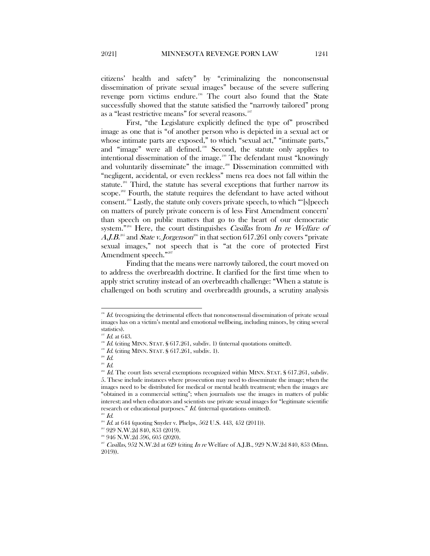citizens' health and safety" by "criminalizing the nonconsensual dissemination of private sexual images" because of the severe suffering revenge porn victims endure.[196](#page-26-0) The court also found that the State successfully showed that the statute satisfied the "narrowly tailored" prong as a "least restrictive means" for several reasons.<sup>[197](#page-26-1)</sup>

First, "the Legislature explicitly defined the type of" proscribed image as one that is "of another person who is depicted in a sexual act or whose intimate parts are exposed," to which "sexual act," "intimate parts," and "image" were all defined.<sup>[198](#page-26-2)</sup> Second, the statute only applies to intentional dissemination of the image.[199](#page-26-3) The defendant must "knowingly and voluntarily disseminate" the image.<sup>[200](#page-26-4)</sup> Dissemination committed with "negligent, accidental, or even reckless" mens rea does not fall within the statute.<sup>[201](#page-26-5)</sup> Third, the statute has several exceptions that further narrow its scope.<sup>[202](#page-26-6)</sup> Fourth, the statute requires the defendant to have acted without consent.[203](#page-26-7) Lastly, the statute only covers private speech, to which "'[s]peech on matters of purely private concern is of less First Amendment concern' than speech on public matters that go to the heart of our democratic system."<sup>[204](#page-26-8)</sup> Here, the court distinguishes *Casillas* from In re Welfare of  $A$ , J.B.<sup>[205](#page-26-9)</sup> and State v. Jorgenson<sup>[206](#page-26-10)</sup> in that section 617.261 only covers "private sexual images," not speech that is "at the core of protected First Amendment speech."<sup>[207](#page-26-11)</sup>

Finding that the means were narrowly tailored, the court moved on to address the overbreadth doctrine. It clarified for the first time when to apply strict scrutiny instead of an overbreadth challenge: "When a statute is challenged on both scrutiny and overbreadth grounds, a scrutiny analysis

<span id="page-26-0"></span> $196$  Id. (recognizing the detrimental effects that nonconsensual dissemination of private sexual images has on a victim's mental and emotional wellbeing, including minors, by citing several statistics).

 $H$  Id. at 643.

<span id="page-26-2"></span><span id="page-26-1"></span><sup>&</sup>lt;sup>198</sup> Id. (citing MINN. STAT. § 617.261, subdiv. 1) (internal quotations omitted). <sup>199</sup> Id. (citing MINN. STAT. § 617.261, subdiv. 1).

<span id="page-26-3"></span>

 $200$  *Id.* 

 $201$  *Id.* 

<span id="page-26-6"></span><span id="page-26-5"></span><span id="page-26-4"></span> $^{202}$  *Id.* The court lists several exemptions recognized within MINN. STAT. § 617.261, subdiv. 5. These include instances where prosecution may need to disseminate the image; when the images need to be distributed for medical or mental health treatment; when the images are "obtained in a commercial setting"; when journalists use the images in matters of public interest; and when educators and scientists use private sexual images for "legitimate scientific research or educational purposes." Id. (internal quotations omitted). <sup>203</sup> Id.

<span id="page-26-8"></span><span id="page-26-7"></span>

<span id="page-26-9"></span> $^{204}$  *Id.* at 644 (quoting Snyder v. Phelps, 562 U.S. 443, 452 (2011)).

<sup>&</sup>lt;sup>205</sup> 929 N.W.2d 840, 853 (2019).

<span id="page-26-10"></span><sup>206</sup> 946 N.W.2d 596, 605 (2020).

<span id="page-26-11"></span><sup>&</sup>lt;sup>207</sup> Casillas, 952 N.W.2d at 629 (citing In re Welfare of A.J.B., 929 N.W.2d 840, 853 (Minn. 2019)).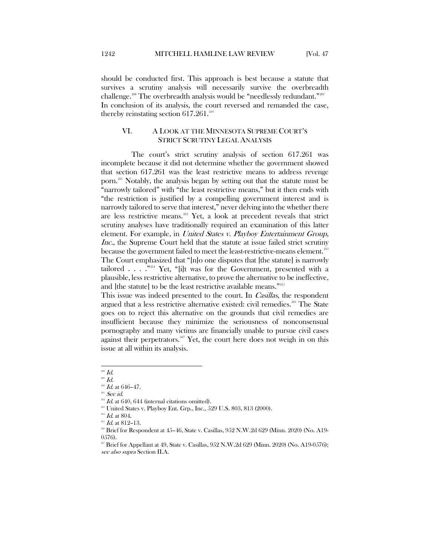should be conducted first. This approach is best because a statute that survives a scrutiny analysis will necessarily survive the overbreadth challenge.<sup>[208](#page-27-1)</sup> The overbreadth analysis would be "needlessly redundant."<sup>[209](#page-27-2)</sup> In conclusion of its analysis, the court reversed and remanded the case, thereby reinstating section  $617.261.^{210}$  $617.261.^{210}$  $617.261.^{210}$ 

# <span id="page-27-0"></span>VI. A LOOK AT THE MINNESOTA SUPREME COURT'S STRICT SCRUTINY LEGAL ANALYSIS

The court's strict scrutiny analysis of section 617.261 was incomplete because it did not determine whether the government showed that section 617.261 was the least restrictive means to address revenge porn.[211](#page-27-4) Notably, the analysis began by setting out that the statute must be "narrowly tailored" with "the least restrictive means," but it then ends with "the restriction is justified by a compelling government interest and is narrowly tailored to serve that interest," never delving into the whether there are less restrictive means.<sup>[212](#page-27-5)</sup> Yet, a look at precedent reveals that strict scrutiny analyses have traditionally required an examination of this latter element. For example, in United States v. Playboy Entertainment Group, Inc., the Supreme Court held that the statute at issue failed strict scrutiny because the government failed to meet the least-restrictive-means element.<sup>[213](#page-27-6)</sup> The Court emphasized that "[n]o one disputes that [the statute] is narrowly tailored  $\ldots$  . . . .  $\mathbb{Z}^{214}$  $\mathbb{Z}^{214}$  $\mathbb{Z}^{214}$  Yet, "[i]t was for the Government, presented with a plausible, less restrictive alternative, to prove the alternative to be ineffective, and [the statute] to be the least restrictive available means."<sup>[215](#page-27-8)</sup>

This issue was indeed presented to the court. In *Casillas*, the respondent argued that a less restrictive alternative existed: civil remedies.<sup>[216](#page-27-9)</sup> The State goes on to reject this alternative on the grounds that civil remedies are insufficient because they minimize the seriousness of nonconsensual pornography and many victims are financially unable to pursue civil cases against their perpetrators.<sup>[217](#page-27-10)</sup> Yet, the court here does not weigh in on this issue at all within its analysis.

 $^{\scriptscriptstyle 208}$   $Id.$ 

<span id="page-27-3"></span><span id="page-27-2"></span><span id="page-27-1"></span> $^{209}$   $\emph{Id.}$ 

<sup>210</sup> Id. at 646–47.

 $211$  See id.

<span id="page-27-4"></span> $^{212}$  Id. at 640, 644 (internal citations omitted).

<span id="page-27-6"></span><span id="page-27-5"></span><sup>&</sup>lt;sup>213</sup> United States v. Playboy Ent. Grp., Inc., 529 U.S. 803, 813 (2000). <sup>214</sup> *Id.* at 804.

<span id="page-27-8"></span><span id="page-27-7"></span>

 $^{215}$  *Id.* at 812-13.

<span id="page-27-9"></span> $^{216}$  Brief for Respondent at 45–46, State v. Casillas, 952 N.W.2d 629 (Minn. 2020) (No. A19-0576).

<span id="page-27-10"></span><sup>&</sup>lt;sup>217</sup> Brief for Appellant at 49, State v. Casillas,  $952$  N.W.2d  $629$  (Minn. 2020) (No. A19-0576); see also supra Section II.A.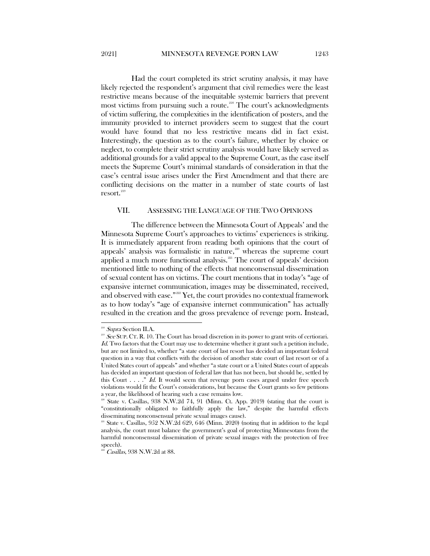Had the court completed its strict scrutiny analysis, it may have likely rejected the respondent's argument that civil remedies were the least restrictive means because of the inequitable systemic barriers that prevent most victims from pursuing such a route.<sup>[218](#page-28-1)</sup> The court's acknowledgments of victim suffering, the complexities in the identification of posters, and the immunity provided to internet providers seem to suggest that the court would have found that no less restrictive means did in fact exist. Interestingly, the question as to the court's failure, whether by choice or neglect, to complete their strict scrutiny analysis would have likely served as additional grounds for a valid appeal to the Supreme Court, as the case itself meets the Supreme Court's minimal standards of consideration in that the case's central issue arises under the First Amendment and that there are conflicting decisions on the matter in a number of state courts of last resort.<sup>[219](#page-28-2)</sup>

#### <span id="page-28-0"></span>VII. ASSESSING THE LANGUAGE OF THE TWO OPINIONS

The difference between the Minnesota Court of Appeals' and the Minnesota Supreme Court's approaches to victims' experiences is striking. It is immediately apparent from reading both opinions that the court of appeals' analysis was formalistic in nature, $220$  whereas the supreme court applied a much more functional analysis.<sup>[221](#page-28-4)</sup> The court of appeals' decision mentioned little to nothing of the effects that nonconsensual dissemination of sexual content has on victims. The court mentions that in today's "age of expansive internet communication, images may be disseminated, received, and observed with ease."<sup>[222](#page-28-5)</sup> Yet, the court provides no contextual framework as to how today's "age of expansive internet communication" has actually resulted in the creation and the gross prevalence of revenge porn. Instead,

<sup>&</sup>lt;sup>218</sup> Supra Section II.A.

<span id="page-28-2"></span><span id="page-28-1"></span><sup>&</sup>lt;sup>219</sup> See SUP. CT. R. 10. The Court has broad discretion in its power to grant writs of certiorari. Id. Two factors that the Court may use to determine whether it grant such a petition include, but are not limited to, whether "a state court of last resort has decided an important federal question in a way that conflicts with the decision of another state court of last resort or of a United States court of appeals" and whether "a state court or a United States court of appeals has decided an important question of federal law that has not been, but should be, settled by this Court  $\ldots$ ." Id. It would seem that revenge porn cases argued under free speech violations would fit the Court's considerations, but because the Court grants so few petitions a year, the likelihood of hearing such a case remains low.

<span id="page-28-3"></span>State v. Casillas, 938 N.W.2d 74, 91 (Minn. Ct. App. 2019) (stating that the court is "constitutionally obligated to faithfully apply the law," despite the harmful effects disseminating nonconsensual private sexual images cause).

<span id="page-28-4"></span> $^{21}$  State v. Casillas, 952 N.W.2d 629, 646 (Minn. 2020) (noting that in addition to the legal analysis, the court must balance the government's goal of protecting Minnesotans from the harmful nonconsensual dissemination of private sexual images with the protection of free speech).

<span id="page-28-5"></span><sup>&</sup>lt;sup>2</sup> Casillas, 938 N.W.2d at 88.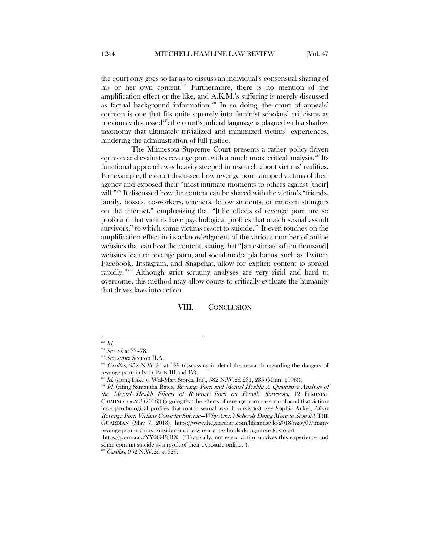the court only goes so far as to discuss an individual's consensual sharing of his or her own content.<sup>[223](#page-29-1)</sup> Furthermore, there is no mention of the amplification effect or the like, and A.K.M.'s suffering is merely discussed as factual background information.<sup>[224](#page-29-2)</sup> In so doing, the court of appeals' opinion is one that fits quite squarely into feminist scholars' criticisms as previously discussed<sup>225</sup>: the court's judicial language is plagued with a shadow taxonomy that ultimately trivialized and minimized victims' experiences, hindering the administration of full justice.

The Minnesota Supreme Court presents a rather policy-driven opinion and evaluates revenge porn with a much more critical analysis.<sup>[226](#page-29-4)</sup> Its functional approach was heavily steeped in research about victims' realities. For example, the court discussed how revenge porn stripped victims of their agency and exposed their "most intimate moments to others against [their] will."<sup>[227](#page-29-5)</sup> It discussed how the content can be shared with the victim's "friends, family, bosses, co-workers, teachers, fellow students, or random strangers on the internet," emphasizing that "[t]he effects of revenge porn are so profound that victims have psychological profiles that match sexual assault survivors," to which some victims resort to suicide.<sup>[228](#page-29-6)</sup> It even touches on the amplification effect in its acknowledgment of the various number of online websites that can host the content, stating that "[an estimate of ten thousand] websites feature revenge porn, and social media platforms, such as Twitter, Facebook, Instagram, and Snapchat, allow for explicit content to spread rapidly."[229](#page-29-7) Although strict scrutiny analyses are very rigid and hard to overcome, this method may allow courts to critically evaluate the humanity that drives laws into action.

#### VIII. CONCLUSION

<span id="page-29-1"></span><span id="page-29-0"></span> $^{223}$   $Id.$ 

 $224$  *See id.* at 77-78.

<span id="page-29-3"></span><span id="page-29-2"></span><sup>&</sup>lt;sup>225</sup> See supra Section II.A.

<span id="page-29-4"></span> $^{206}$  Casillas, 952 N.W.2d at 629 (discussing in detail the research regarding the dangers of revenge porn in both Parts III and IV).

 $227$  Id. (citing Lake v. Wal-Mart Stores, Inc., 582 N.W.2d 231, 235 (Minn. 1998)).

<span id="page-29-6"></span><span id="page-29-5"></span><sup>&</sup>lt;sup>228</sup> Id. (citing Samantha Bates, Revenge Porn and Mental Health: A Qualitative Analysis of the Mental Health Effects of Revenge Porn on Female Survivors, 12 FEMINIST CRIMINOLOGY 3 (2016)) (arguing that the effects of revenge porn are so profound that victims have psychological profiles that match sexual assault survivors); see Sophia Ankel, Many Revenge Porn Victims Consider Suicide—Why Aren't Schools Doing More to Stop it?, THE GUARDIAN (May 7, 2018), https://www.theguardian.com/lifeandstyle/2018/may/07/manyrevenge-porn-victims-consider-suicide-why-arent-schools-doing-more-to-stop-it

<span id="page-29-7"></span><sup>[</sup>https://perma.cc/YY2G-P6RX] ("Tragically, not every victim survives this experience and some commit suicide as a result of their exposure online.").

<sup>&</sup>lt;sup>229</sup> Casillas, 952 N.W.2d at 629.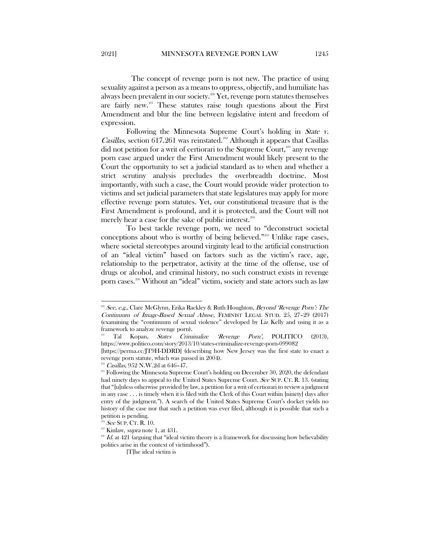The concept of revenge porn is not new. The practice of using sexuality against a person as a means to oppress, objectify, and humiliate has always been prevalent in our society.<sup>[230](#page-30-0)</sup> Yet, revenge porn statutes themselves are fairly new.<sup>[231](#page-30-1)</sup> These statutes raise tough questions about the First Amendment and blur the line between legislative intent and freedom of expression.

Following the Minnesota Supreme Court's holding in *State v. Casillas*, section 617.261 was reinstated.<sup>[232](#page-30-2)</sup> Although it appears that Casillas did not petition for a writ of certiorari to the Supreme Court,<sup>[233](#page-30-3)</sup> any revenge porn case argued under the First Amendment would likely present to the Court the opportunity to set a judicial standard as to when and whether a strict scrutiny analysis precludes the overbreadth doctrine. Most importantly, with such a case, the Court would provide wider protection to victims and set judicial parameters that state legislatures may apply for more effective revenge porn statutes. Yet, our constitutional treasure that is the First Amendment is profound, and it is protected, and the Court will not merely hear a case for the sake of public interest.<sup>[234](#page-30-4)</sup>

To best tackle revenge porn, we need to "deconstruct societal conceptions about who is worthy of being believed."[235](#page-30-5) Unlike rape cases, where societal stereotypes around virginity lead to the artificial construction of an "ideal victim" based on factors such as the victim's race, age, relationship to the perpetrator, activity at the time of the offense, use of drugs or alcohol, and criminal history, no such construct exists in revenge porn cases.[236](#page-30-6) Without an "ideal" victim, society and state actors such as law

<span id="page-30-0"></span> $2^{200}$  See, e.g., Clare McGlynn, Erika Rackley & Ruth Houghton, Beyond 'Revenge Porn': The Continuum of Image-Based Sexual Abuse, FEMINIST LEGAL STUD. 25, 27–29 (2017) (examining the "continuum of sexual violence" developed by Liz Kelly and using it as a framework to analyze revenge porn).

<span id="page-30-1"></span><sup>&</sup>lt;sup>231</sup> Tal Kopan, *States Criminalize 'Revenge Porn'*, POLITICO (2013), https://www.politico.com/story/2013/10/states-criminalize-revenge-porn-099082

<sup>[</sup>https://perma.cc/JT9H-DDRD] (describing how New Jersey was the first state to enact a revenge porn statute, which was passed in 2004).

 $^{232}$  *Casillas*, 952 N.W.2d at 646–47.

<span id="page-30-3"></span><span id="page-30-2"></span><sup>&</sup>lt;sup>233</sup> Following the Minnesota Supreme Court's holding on December 30, 2020, the defendant had ninety days to appeal to the United States Supreme Court. See SUP. CT. R. 13. (stating that "[u]nless otherwise provided by law, a petition for a writ of certiorari to review a judgment in any case . . . is timely when it is filed with the Clerk of this Court within [ninety] days after entry of the judgment."). A search of the United States Supreme Court's docket yields no history of the case nor that such a petition was ever filed, although it is possible that such a petition is pending.

See SUP. CT. R. 10.

 $235$  Kinlaw, *supra* note 1, at 431.

<span id="page-30-6"></span><span id="page-30-5"></span><span id="page-30-4"></span> $2^{36}$  Id. at 421 (arguing that "ideal victim theory is a framework for discussing how believability politics arise in the context of victimhood").

<sup>[</sup>T]he ideal victim is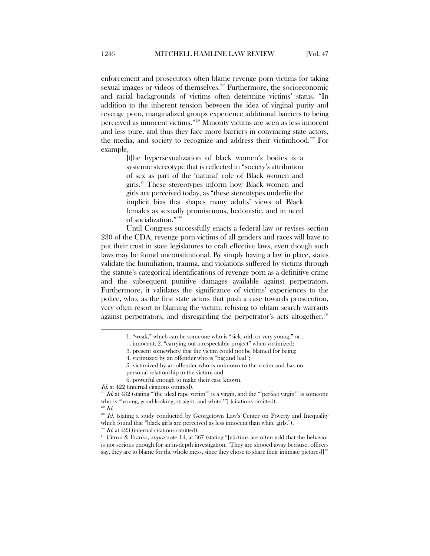enforcement and prosecutors often blame revenge porn victims for taking sexual images or videos of themselves.<sup>[237](#page-31-0)</sup> Furthermore, the socioeconomic and racial backgrounds of victims often determine victims' status. "In addition to the inherent tension between the idea of virginal purity and revenge porn, marginalized groups experience additional barriers to being perceived as innocent victims."[238](#page-31-1) Minority victims are seen as less innocent and less pure, and thus they face more barriers in convincing state actors, the media, and society to recognize and address their victimhood.[239](#page-31-2) For example,

> [t]he hypersexualization of black women's bodies is a systemic stereotype that is reflected in "society's attribution of sex as part of the 'natural' role of Black women and girls." These stereotypes inform how Black women and girls are perceived today, as "these stereotypes underlie the implicit bias that shapes many adults' views of Black females as sexually promiscuous, hedonistic, and in need of socialization."[240](#page-31-3)

Until Congress successfully enacts a federal law or revises section 230 of the CDA, revenge porn victims of all genders and races will have to put their trust in state legislatures to craft effective laws, even though such laws may be found unconstitutional. By simply having a law in place, states validate the humiliation, trauma, and violations suffered by victims through the statute's categorical identifications of revenge porn as a definitive crime and the subsequent punitive damages available against perpetrators. Furthermore, it validates the significance of victims' experiences to the police, who, as the first state actors that push a case towards prosecution, very often resort to blaming the victim, refusing to obtain search warrants against perpetrators, and disregarding the perpetrator's acts altogether.<sup>[241](#page-31-4)</sup>

l

 $\overline{1}$ d. at 423 (internal citations omitted).

<sup>1. &</sup>quot;weak," which can be someone who is "sick, old, or very young," or .

<sup>. .</sup> innocent; 2. "carrying out a respectable project" when victimized;

<sup>3.</sup> present somewhere that the victim could not be blamed for being;

<sup>4.</sup> victimized by an offender who is "big and bad";

<sup>5.</sup> victimized by an offender who is unknown to the victim and has no

personal relationship to the victim; and

<sup>6.</sup> powerful enough to make their case known.

Id. at 422 (internal citations omitted).

<span id="page-31-0"></span> $^{237}$  Id. at  $432$  (stating "'the ideal rape victim'" is a virgin, and the "'perfect virgin'" is someone who is "young, good-looking, straight, and white.") (citations omitted). <sup>238</sup> Id.

<span id="page-31-2"></span><span id="page-31-1"></span>Id. (stating a study conducted by Georgetown Law's Center on Poverty and Inequality which found that "black girls are perceived as less innocent than white girls.").

<span id="page-31-4"></span><span id="page-31-3"></span><sup>&</sup>lt;sup>241</sup> Citron & Franks, *supra* note 14, at 367 (stating "[v]ictims are often told that the behavior is not serious enough for an in-depth investigation. 'They are shooed away because, officers say, they are to blame for the whole mess, since they chose to share their intimate pictures[]'"